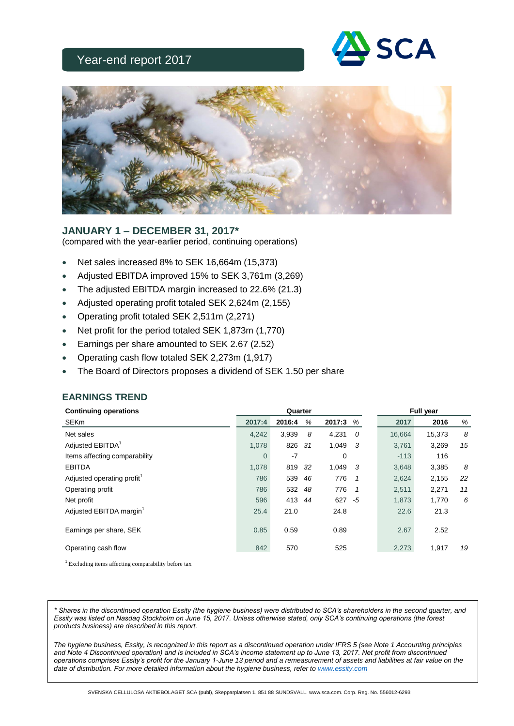# Year-end report 2017





## **JANUARY 1 – DECEMBER 31, 2017\***

(compared with the year-earlier period, continuing operations)

- Net sales increased 8% to SEK 16,664m (15,373)
- Adjusted EBITDA improved 15% to SEK 3,761m (3,269)
- The adjusted EBITDA margin increased to 22.6% (21.3)
- Adjusted operating profit totaled SEK 2,624m (2,155)
- Operating profit totaled SEK 2,511m (2,271)
- Net profit for the period totaled SEK 1,873m (1,770)
- Earnings per share amounted to SEK 2.67 (2.52)
- Operating cash flow totaled SEK 2,273m (1,917)
- The Board of Directors proposes a dividend of SEK 1.50 per share

| <b>Continuing operations</b>           |                | Quarter |     |        |                |        | <b>Full year</b> |    |
|----------------------------------------|----------------|---------|-----|--------|----------------|--------|------------------|----|
| <b>SEKm</b>                            | 2017:4         | 2016:4  | %   | 2017:3 | %              | 2017   | 2016             | %  |
| Net sales                              | 4,242          | 3,939   | 8   | 4,231  | 0              | 16,664 | 15,373           | 8  |
| Adjusted EBITDA <sup>1</sup>           | 1,078          | 826     | 31  | 1,049  | -3             | 3,761  | 3,269            | 15 |
| Items affecting comparability          | $\overline{0}$ | $-7$    |     | 0      |                | $-113$ | 116              |    |
| <b>EBITDA</b>                          | 1,078          | 819     | -32 | 1,049  | -3             | 3,648  | 3,385            | 8  |
| Adjusted operating profit <sup>1</sup> | 786            | 539     | 46  | 776    | -1             | 2,624  | 2,155            | 22 |
| Operating profit                       | 786            | 532 48  |     | 776    | $\overline{1}$ | 2,511  | 2,271            | 11 |
| Net profit                             | 596            | 413     | 44  | 627    | -5             | 1,873  | 1,770            | 6  |
| Adjusted EBITDA margin <sup>1</sup>    | 25.4           | 21.0    |     | 24.8   |                | 22.6   | 21.3             |    |
| Earnings per share, SEK                | 0.85           | 0.59    |     | 0.89   |                | 2.67   | 2.52             |    |
| Operating cash flow                    | 842            | 570     |     | 525    |                | 2,273  | 1,917            | 19 |

**EARNINGS TREND**

<sup>1</sup>Excluding items affecting comparability before tax

*\* Shares in the discontinued operation Essity (the hygiene business) were distributed to SCA's shareholders in the second quarter, and Essity was listed on Nasdaq Stockholm on June 15, 2017. Unless otherwise stated, only SCA's continuing operations (the forest products business) are described in this report.*

The hygiene business, Essity, is recognized in this report as a discontinued operation under IFRS 5 (see Note 1 Accounting principles *and Note 4 Discontinued operation) and is included in SCA's income statement up to June 13, 2017. Net profit from discontinued operations comprises Essity's profit for the January 1-June 13 period and a remeasurement of assets and liabilities at fair value on the date of distribution. For more detailed information about the hygiene business, refer to [www.essity.com](http://www.essity.com/)*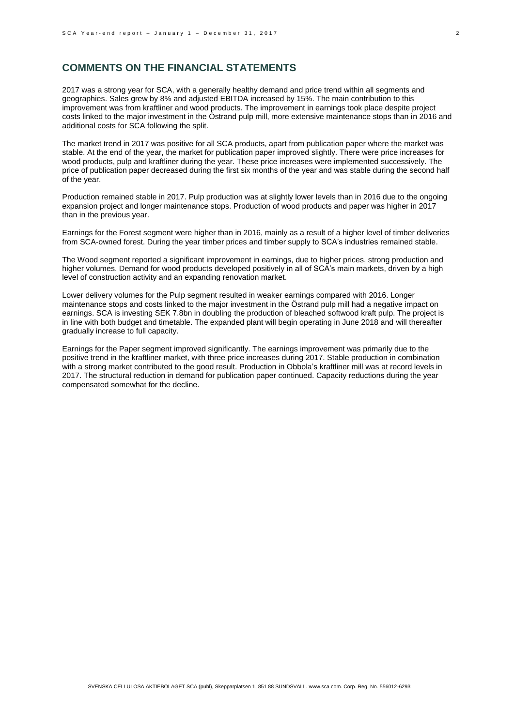### **COMMENTS ON THE FINANCIAL STATEMENTS**

2017 was a strong year for SCA, with a generally healthy demand and price trend within all segments and geographies. Sales grew by 8% and adjusted EBITDA increased by 15%. The main contribution to this improvement was from kraftliner and wood products. The improvement in earnings took place despite project costs linked to the major investment in the Östrand pulp mill, more extensive maintenance stops than in 2016 and additional costs for SCA following the split.

The market trend in 2017 was positive for all SCA products, apart from publication paper where the market was stable. At the end of the year, the market for publication paper improved slightly. There were price increases for wood products, pulp and kraftliner during the year. These price increases were implemented successively. The price of publication paper decreased during the first six months of the year and was stable during the second half of the year.

Production remained stable in 2017. Pulp production was at slightly lower levels than in 2016 due to the ongoing expansion project and longer maintenance stops. Production of wood products and paper was higher in 2017 than in the previous year.

Earnings for the Forest segment were higher than in 2016, mainly as a result of a higher level of timber deliveries from SCA-owned forest. During the year timber prices and timber supply to SCA's industries remained stable.

The Wood segment reported a significant improvement in earnings, due to higher prices, strong production and higher volumes. Demand for wood products developed positively in all of SCA's main markets, driven by a high level of construction activity and an expanding renovation market.

Lower delivery volumes for the Pulp segment resulted in weaker earnings compared with 2016. Longer maintenance stops and costs linked to the major investment in the Östrand pulp mill had a negative impact on earnings. SCA is investing SEK 7.8bn in doubling the production of bleached softwood kraft pulp. The project is in line with both budget and timetable. The expanded plant will begin operating in June 2018 and will thereafter gradually increase to full capacity.

Earnings for the Paper segment improved significantly. The earnings improvement was primarily due to the positive trend in the kraftliner market, with three price increases during 2017. Stable production in combination with a strong market contributed to the good result. Production in Obbola's kraftliner mill was at record levels in 2017. The structural reduction in demand for publication paper continued. Capacity reductions during the year compensated somewhat for the decline.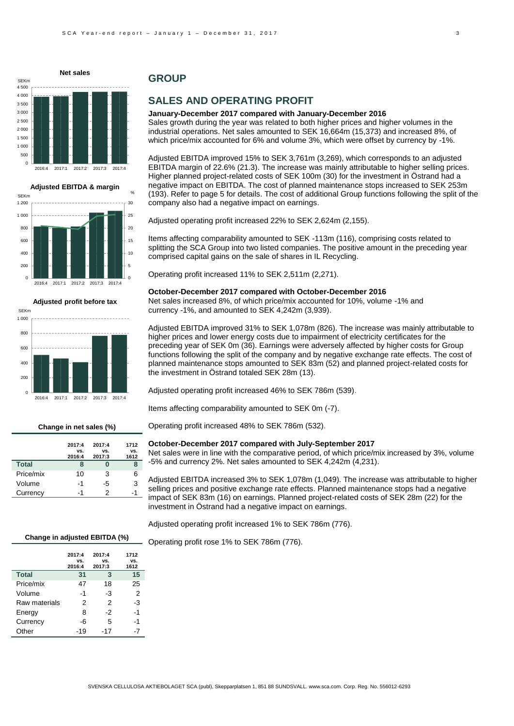

**Adjusted EBITDA & margin**



 $\mathfrak{g}$  $200$ 400 600  $800$ 1 000 2016:4 2017:1 2017:2 2017:3 2017:4 **Adjusted profit before tax** SEKm

#### **Change in net sales (%)**

|              | 2017:4        | 2017:4        | 1712        |
|--------------|---------------|---------------|-------------|
|              | VS.<br>2016:4 | VS.<br>2017:3 | VS.<br>1612 |
| <b>Total</b> | 8             |               | 8           |
| Price/mix    | 10            | 3             | 6           |
| Volume       | -1            | -5            | 3           |
| Currency     | -1            | 2             | -1          |

### **GROUP**

## **SALES AND OPERATING PROFIT**

**January-December 2017 compared with January-December 2016** Sales growth during the year was related to both higher prices and higher volumes in the industrial operations. Net sales amounted to SEK 16,664m (15,373) and increased 8%, of which price/mix accounted for 6% and volume 3%, which were offset by currency by -1%.

Adjusted EBITDA improved 15% to SEK 3,761m (3,269), which corresponds to an adjusted EBITDA margin of 22.6% (21.3). The increase was mainly attributable to higher selling prices. Higher planned project-related costs of SEK 100m (30) for the investment in Östrand had a negative impact on EBITDA. The cost of planned maintenance stops increased to SEK 253m (193). Refer to page 5 for details. The cost of additional Group functions following the split of the company also had a negative impact on earnings.

Adjusted operating profit increased 22% to SEK 2,624m (2,155).

Items affecting comparability amounted to SEK -113m (116), comprising costs related to splitting the SCA Group into two listed companies. The positive amount in the preceding year comprised capital gains on the sale of shares in IL Recycling.

Operating profit increased 11% to SEK 2,511m (2,271).

#### **October-December 2017 compared with October-December 2016**

Net sales increased 8%, of which price/mix accounted for 10%, volume -1% and currency -1%, and amounted to SEK 4,242m (3,939).

Adjusted EBITDA improved 31% to SEK 1,078m (826). The increase was mainly attributable to higher prices and lower energy costs due to impairment of electricity certificates for the preceding year of SEK 0m (36). Earnings were adversely affected by higher costs for Group functions following the split of the company and by negative exchange rate effects. The cost of planned maintenance stops amounted to SEK 83m (52) and planned project-related costs for the investment in Östrand totaled SEK 28m (13).

Adjusted operating profit increased 46% to SEK 786m (539).

Items affecting comparability amounted to SEK 0m (-7).

Operating profit increased 48% to SEK 786m (532).

#### **October-December 2017 compared with July-September 2017**

Net sales were in line with the comparative period, of which price/mix increased by 3%, volume -5% and currency 2%. Net sales amounted to SEK 4,242m (4,231).

Adjusted EBITDA increased 3% to SEK 1,078m (1,049). The increase was attributable to higher selling prices and positive exchange rate effects. Planned maintenance stops had a negative impact of SEK 83m (16) on earnings. Planned project-related costs of SEK 28m (22) for the investment in Östrand had a negative impact on earnings.

Adjusted operating profit increased 1% to SEK 786m (776).

Operating profit rose 1% to SEK 786m (776).

|               | 2017:4<br>VS.<br>2016:4 | 2017:4<br>VS.<br>2017:3 | 1712<br>VS.<br>1612 |
|---------------|-------------------------|-------------------------|---------------------|
| <b>Total</b>  | 31                      | 3                       | 15                  |
| Price/mix     | 47                      | 18                      | 25                  |
| Volume        | $-1$                    | -3                      | 2                   |
| Raw materials | 2                       | 2                       | -3                  |
| Energy        | 8                       | -2                      | -1                  |
| Currency      | -6                      | 5                       | -1                  |
| Other         | -19                     | -17                     |                     |

**Change in adjusted EBITDA (%)**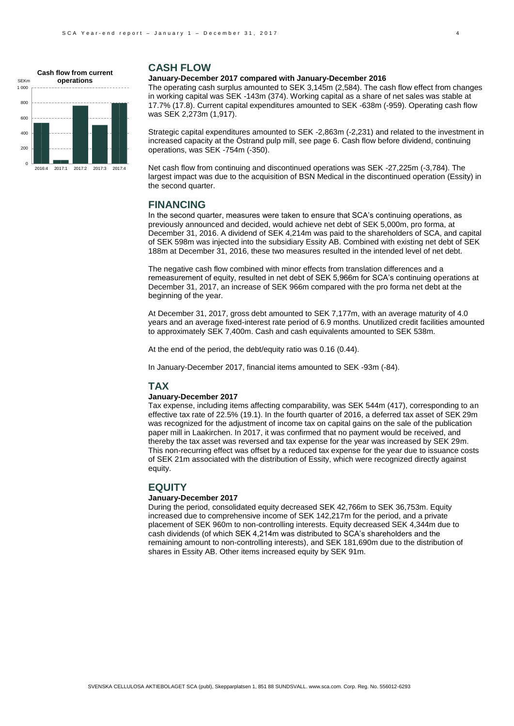

### **CASH FLOW**

#### **January-December 2017 compared with January-December 2016**

The operating cash surplus amounted to SEK 3,145m (2,584). The cash flow effect from changes in working capital was SEK -143m (374). Working capital as a share of net sales was stable at 17.7% (17.8). Current capital expenditures amounted to SEK -638m (-959). Operating cash flow was SEK 2,273m (1,917).

Strategic capital expenditures amounted to SEK -2,863m (-2,231) and related to the investment in increased capacity at the Östrand pulp mill, see page 6. Cash flow before dividend, continuing operations, was SEK -754m (-350).

Net cash flow from continuing and discontinued operations was SEK -27,225m (-3,784). The largest impact was due to the acquisition of BSN Medical in the discontinued operation (Essity) in the second quarter.

### **FINANCING**

In the second quarter, measures were taken to ensure that SCA's continuing operations, as previously announced and decided, would achieve net debt of SEK 5,000m, pro forma, at December 31, 2016. A dividend of SEK 4,214m was paid to the shareholders of SCA, and capital of SEK 598m was injected into the subsidiary Essity AB. Combined with existing net debt of SEK 188m at December 31, 2016, these two measures resulted in the intended level of net debt.

The negative cash flow combined with minor effects from translation differences and a remeasurement of equity, resulted in net debt of SEK 5,966m for SCA's continuing operations at December 31, 2017, an increase of SEK 966m compared with the pro forma net debt at the beginning of the year.

At December 31, 2017, gross debt amounted to SEK 7,177m, with an average maturity of 4.0 years and an average fixed-interest rate period of 6.9 months. Unutilized credit facilities amounted to approximately SEK 7,400m. Cash and cash equivalents amounted to SEK 538m.

At the end of the period, the debt/equity ratio was 0.16 (0.44).

In January-December 2017, financial items amounted to SEK -93m (-84).

#### **TAX**

#### **January-December 2017**

Tax expense, including items affecting comparability, was SEK 544m (417), corresponding to an effective tax rate of 22.5% (19.1). In the fourth quarter of 2016, a deferred tax asset of SEK 29m was recognized for the adjustment of income tax on capital gains on the sale of the publication paper mill in Laakirchen. In 2017, it was confirmed that no payment would be received, and thereby the tax asset was reversed and tax expense for the year was increased by SEK 29m. This non-recurring effect was offset by a reduced tax expense for the year due to issuance costs of SEK 21m associated with the distribution of Essity, which were recognized directly against equity.

### **EQUITY**

### **January-December 2017**

During the period, consolidated equity decreased SEK 42,766m to SEK 36,753m. Equity increased due to comprehensive income of SEK 142,217m for the period, and a private placement of SEK 960m to non-controlling interests. Equity decreased SEK 4,344m due to cash dividends (of which SEK 4,214m was distributed to SCA's shareholders and the remaining amount to non-controlling interests), and SEK 181,690m due to the distribution of shares in Essity AB. Other items increased equity by SEK 91m.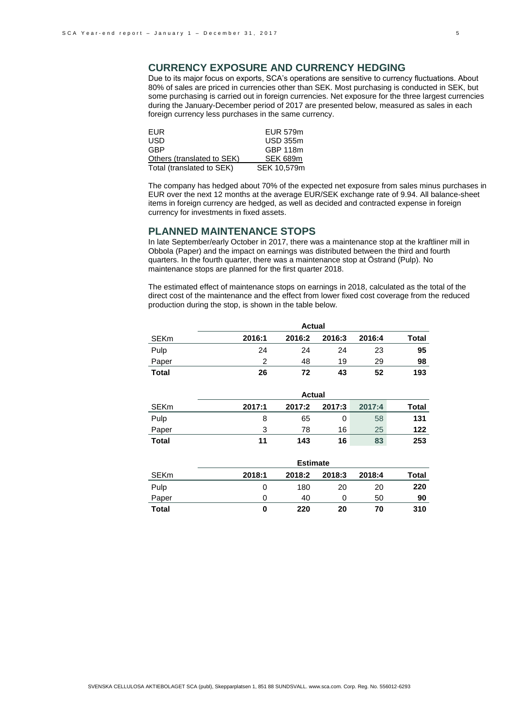# **CURRENCY EXPOSURE AND CURRENCY HEDGING**

Due to its major focus on exports, SCA's operations are sensitive to currency fluctuations. About 80% of sales are priced in currencies other than SEK. Most purchasing is conducted in SEK, but some purchasing is carried out in foreign currencies. Net exposure for the three largest currencies during the January-December period of 2017 are presented below, measured as sales in each foreign currency less purchases in the same currency.

| EUR.                       | EUR 579m        |
|----------------------------|-----------------|
| USD                        | <b>USD 355m</b> |
| GBP                        | GBP 118m        |
| Others (translated to SEK) | SEK 689m        |
| Total (translated to SEK)  | SEK 10.579m     |

The company has hedged about 70% of the expected net exposure from sales minus purchases in EUR over the next 12 months at the average EUR/SEK exchange rate of 9.94. All balance-sheet items in foreign currency are hedged, as well as decided and contracted expense in foreign currency for investments in fixed assets.

### **PLANNED MAINTENANCE STOPS**

In late September/early October in 2017, there was a maintenance stop at the kraftliner mill in Obbola (Paper) and the impact on earnings was distributed between the third and fourth quarters. In the fourth quarter, there was a maintenance stop at Östrand (Pulp). No maintenance stops are planned for the first quarter 2018.

The estimated effect of maintenance stops on earnings in 2018, calculated as the total of the direct cost of the maintenance and the effect from lower fixed cost coverage from the reduced production during the stop, is shown in the table below.

|              | <b>Actual</b> |        |        |        |       |  |  |  |
|--------------|---------------|--------|--------|--------|-------|--|--|--|
| <b>SEKm</b>  | 2016:1        | 2016:2 | 2016:3 | 2016:4 | Total |  |  |  |
| Pulp         | 24            | 24     | 24     | 23     | 95    |  |  |  |
| Paper        | ົ             | 48     | 19     | 29     | 98    |  |  |  |
| <b>Total</b> | 26            | 72     | 43     | 52     | 193   |  |  |  |

|       | <b>Actual</b> |        |        |        |       |  |  |  |  |
|-------|---------------|--------|--------|--------|-------|--|--|--|--|
| SEKm  | 2017:1        | 2017:2 | 2017:3 | 2017:4 | Total |  |  |  |  |
| Pulp  | 8             | 65     | 0      | 58     | 131   |  |  |  |  |
| Paper | 3             | 78     | 16     | 25     | 122   |  |  |  |  |
| Total | 11            | 143    | 16     | 83     | 253   |  |  |  |  |

|             |        |        | <b>Estimate</b> |        |       |
|-------------|--------|--------|-----------------|--------|-------|
| <b>SEKm</b> | 2018:1 | 2018:2 | 2018:3          | 2018:4 | Total |
| Pulp        |        | 180    | 20              | 20     | 220   |
| Paper       |        | 40     |                 | 50     | 90    |
| Total       | 0      | 220    | 20              | 70     | 310   |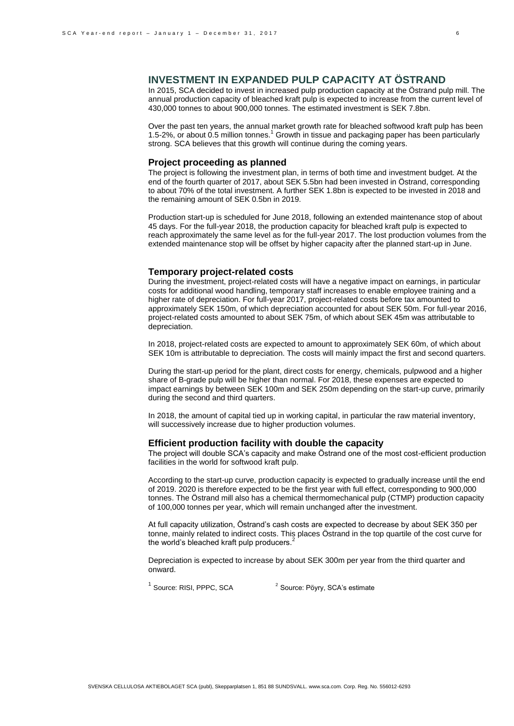## **INVESTMENT IN EXPANDED PULP CAPACITY AT ÖSTRAND**

In 2015, SCA decided to invest in increased pulp production capacity at the Östrand pulp mill. The annual production capacity of bleached kraft pulp is expected to increase from the current level of 430,000 tonnes to about 900,000 tonnes. The estimated investment is SEK 7.8bn.

Over the past ten years, the annual market growth rate for bleached softwood kraft pulp has been 1.5-2%, or about 0.5 million tonnes.<sup>1</sup> Growth in tissue and packaging paper has been particularly strong. SCA believes that this growth will continue during the coming years.

### **Project proceeding as planned**

The project is following the investment plan, in terms of both time and investment budget. At the end of the fourth quarter of 2017, about SEK 5.5bn had been invested in Östrand, corresponding to about 70% of the total investment. A further SEK 1.8bn is expected to be invested in 2018 and the remaining amount of SEK 0.5bn in 2019.

Production start-up is scheduled for June 2018, following an extended maintenance stop of about 45 days. For the full-year 2018, the production capacity for bleached kraft pulp is expected to reach approximately the same level as for the full-year 2017. The lost production volumes from the extended maintenance stop will be offset by higher capacity after the planned start-up in June.

#### **Temporary project-related costs**

During the investment, project-related costs will have a negative impact on earnings, in particular costs for additional wood handling, temporary staff increases to enable employee training and a higher rate of depreciation. For full-year 2017, project-related costs before tax amounted to approximately SEK 150m, of which depreciation accounted for about SEK 50m. For full-year 2016, project-related costs amounted to about SEK 75m, of which about SEK 45m was attributable to depreciation.

In 2018, project-related costs are expected to amount to approximately SEK 60m, of which about SEK 10m is attributable to depreciation. The costs will mainly impact the first and second quarters.

During the start-up period for the plant, direct costs for energy, chemicals, pulpwood and a higher share of B-grade pulp will be higher than normal. For 2018, these expenses are expected to impact earnings by between SEK 100m and SEK 250m depending on the start-up curve, primarily during the second and third quarters.

In 2018, the amount of capital tied up in working capital, in particular the raw material inventory, will successively increase due to higher production volumes.

### **Efficient production facility with double the capacity**

The project will double SCA's capacity and make Östrand one of the most cost-efficient production facilities in the world for softwood kraft pulp.

According to the start-up curve, production capacity is expected to gradually increase until the end of 2019. 2020 is therefore expected to be the first year with full effect, corresponding to 900,000 tonnes. The Östrand mill also has a chemical thermomechanical pulp (CTMP) production capacity of 100,000 tonnes per year, which will remain unchanged after the investment.

At full capacity utilization, Östrand's cash costs are expected to decrease by about SEK 350 per tonne, mainly related to indirect costs. This places Östrand in the top quartile of the cost curve for the world's bleached kraft pulp producers.<sup>2</sup>

Depreciation is expected to increase by about SEK 300m per year from the third quarter and onward.

<sup>1</sup> Source: RISI, PPPC, SCA <sup>2</sup> Source: Pöyry, SCA's estimate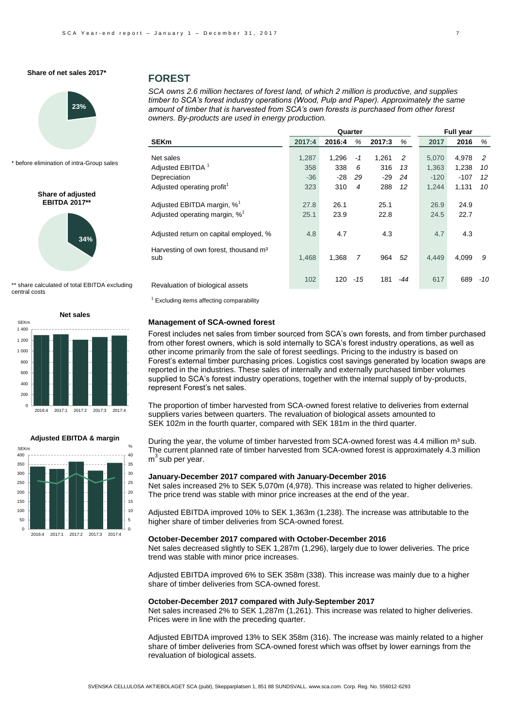

\* before elimination of intra-Group sales

**Share of adjusted EBITDA 2017\*\***

### **FOREST**

*SCA owns 2.6 million hectares of forest land, of which 2 million is productive, and supplies timber to SCA's forest industry operations (Wood, Pulp and Paper). Approximately the same amount of timber that is harvested from SCA's own forests is purchased from other forest owners. By-products are used in energy production.* 

|                                                          |        |        | Quarter |        |     |        | <b>Full year</b> |       |
|----------------------------------------------------------|--------|--------|---------|--------|-----|--------|------------------|-------|
| <b>SEKm</b>                                              | 2017:4 | 2016:4 | %       | 2017:3 | %   | 2017   | 2016             | %     |
| Net sales                                                | 1,287  | 1,296  | $-1$    | 1,261  | 2   | 5,070  | 4,978            | 2     |
| Adjusted EBITDA <sup>1</sup>                             | 358    | 338    | 6       | 316    | 13  | 1,363  | 1,238            | 10    |
| Depreciation                                             | $-36$  | $-28$  | 29      | $-29$  | 24  | $-120$ | $-107$           | 12    |
| Adjusted operating profit <sup>1</sup>                   | 323    | 310    | 4       | 288    | 12  | 1.244  | 1,131            | 10    |
| Adjusted EBITDA margin, % <sup>1</sup>                   | 27.8   | 26.1   |         | 25.1   |     | 26.9   | 24.9             |       |
| Adjusted operating margin, % <sup>1</sup>                | 25.1   | 23.9   |         | 22.8   |     | 24.5   | 22.7             |       |
| Adjusted return on capital employed, %                   | 4.8    | 4.7    |         | 4.3    |     | 4.7    | 4.3              |       |
| Harvesting of own forest, thousand m <sup>3</sup><br>sub | 1,468  | 1,368  | 7       | 964    | 52  | 4,449  | 4,099            | 9     |
| Revaluation of biological assets                         | 102    | 120    | $-15$   | 181    | -44 | 617    | 689              | $-10$ |

 $1$  Excluding items affecting comparability

#### **Management of SCA-owned forest**

Forest includes net sales from timber sourced from SCA's own forests, and from timber purchased from other forest owners, which is sold internally to SCA's forest industry operations, as well as other income primarily from the sale of forest seedlings. Pricing to the industry is based on Forest's external timber purchasing prices. Logistics cost savings generated by location swaps are reported in the industries. These sales of internally and externally purchased timber volumes supplied to SCA's forest industry operations, together with the internal supply of by-products, represent Forest's net sales.

The proportion of timber harvested from SCA-owned forest relative to deliveries from external suppliers varies between quarters. The revaluation of biological assets amounted to SEK 102m in the fourth quarter, compared with SEK 181m in the third quarter.

During the year, the volume of timber harvested from SCA-owned forest was  $4.4$  million  $m<sup>3</sup>$  sub. The current planned rate of timber harvested from SCA-owned forest is approximately 4.3 million m<sup>3</sup> sub per year.

#### **January-December 2017 compared with January-December 2016**

Net sales increased 2% to SEK 5,070m (4,978). This increase was related to higher deliveries. The price trend was stable with minor price increases at the end of the year.

Adjusted EBITDA improved 10% to SEK 1,363m (1,238). The increase was attributable to the higher share of timber deliveries from SCA-owned forest.

#### **October-December 2017 compared with October-December 2016**

Net sales decreased slightly to SEK 1,287m (1,296), largely due to lower deliveries. The price trend was stable with minor price increases.

Adjusted EBITDA improved 6% to SEK 358m (338). This increase was mainly due to a higher share of timber deliveries from SCA-owned forest.

#### **October-December 2017 compared with July-September 2017**

Net sales increased 2% to SEK 1,287m (1,261). This increase was related to higher deliveries. Prices were in line with the preceding quarter.

Adjusted EBITDA improved 13% to SEK 358m (316). The increase was mainly related to a higher share of timber deliveries from SCA-owned forest which was offset by lower earnings from the revaluation of biological assets.



\*\* share calculated of total EBITDA excluding

**34%**

central costs

### **Adjusted EBITDA & margin**

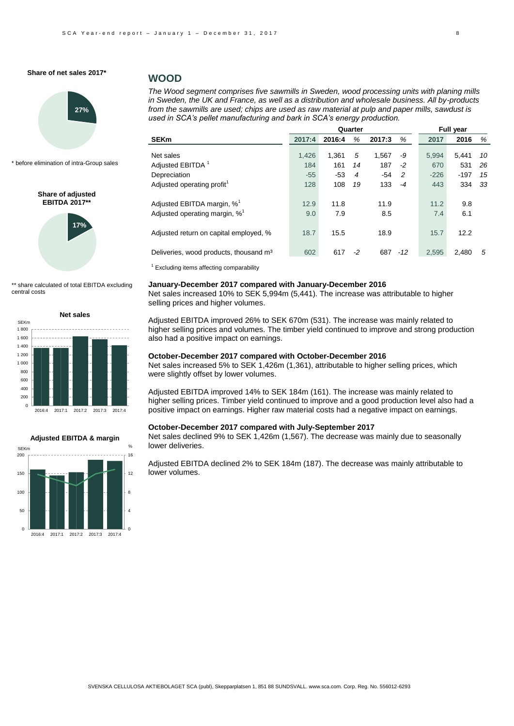

\* before elimination of intra-Group sales

**Share of adjusted EBITDA 2017\*\***



\*\* share calculated of total EBITDA excluding central costs





### **WOOD**

*The Wood segment comprises five sawmills in Sweden, wood processing units with planing mills in Sweden, the UK and France, as well as a distribution and wholesale business. All by-products from the sawmills are used; chips are used as raw material at pulp and paper mills, sawdust is used in SCA's pellet manufacturing and bark in SCA's energy production.* 

| 2017:4 | 2016:4 | %     | 2017:3       | %     | 2017   | 2016   | %                         |  |
|--------|--------|-------|--------------|-------|--------|--------|---------------------------|--|
|        |        |       |              |       |        |        |                           |  |
|        |        |       |              |       |        |        | 10                        |  |
| 184    | 161    | 14    | 187          | $-2$  | 670    | 531    | 26                        |  |
| $-55$  | $-53$  | 4     | $-54$        | 2     | $-226$ | $-197$ | 15                        |  |
| 128    | 108    | 19    | 133          | $-4$  | 443    | 334    | 33                        |  |
| 12.9   | 11.8   |       | 11.9         |       | 11.2   | 9.8    |                           |  |
| 9.0    | 7.9    |       | 8.5          |       | 7.4    | 6.1    |                           |  |
| 18.7   | 15.5   |       | 18.9         |       | 15.7   | 12.2   |                           |  |
| 602    | 617    | $-2$  | 687          | $-12$ | 2,595  | 2,480  | 5                         |  |
|        | 1.426  | 1.361 | Quarter<br>5 | 1,567 | -9     | 5.994  | <b>Full year</b><br>5.441 |  |

 $1$  Excluding items affecting comparability

### **January-December 2017 compared with January-December 2016**

Net sales increased 10% to SEK 5,994m (5,441). The increase was attributable to higher selling prices and higher volumes.

Adjusted EBITDA improved 26% to SEK 670m (531). The increase was mainly related to higher selling prices and volumes. The timber yield continued to improve and strong production also had a positive impact on earnings.

#### **October-December 2017 compared with October-December 2016**

Net sales increased 5% to SEK 1,426m (1,361), attributable to higher selling prices, which were slightly offset by lower volumes.

Adjusted EBITDA improved 14% to SEK 184m (161). The increase was mainly related to higher selling prices. Timber yield continued to improve and a good production level also had a positive impact on earnings. Higher raw material costs had a negative impact on earnings.

#### **October-December 2017 compared with July-September 2017**

Net sales declined 9% to SEK 1,426m (1,567). The decrease was mainly due to seasonally lower deliveries.

Adjusted EBITDA declined 2% to SEK 184m (187). The decrease was mainly attributable to lower volumes.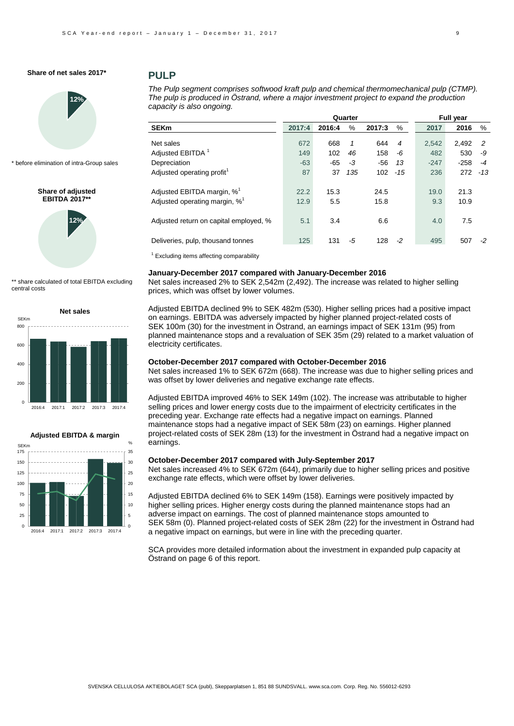

\* before elimination of intra-Group sales

**Share of adjusted EBITDA 2017** 



\*\* share calculated of total EBITDA excluding central costs





### **PULP**

*The Pulp segment comprises softwood kraft pulp and chemical thermomechanical pulp (CTMP). The pulp is produced in Östrand, where a major investment project to expand the production capacity is also ongoing.*

|                                        |        |        | Quarter |        |                |        | <b>Full year</b> |       |
|----------------------------------------|--------|--------|---------|--------|----------------|--------|------------------|-------|
| <b>SEKm</b>                            | 2017:4 | 2016:4 | $\%$    | 2017:3 | %              | 2017   | 2016             | %     |
| Net sales                              | 672    | 668    | 1       | 644    | $\overline{4}$ | 2.542  | 2.492            | -2    |
| Adjusted EBITDA <sup>1</sup>           | 149    | 102    | 46      | 158    | -6             | 482    | 530              | -9    |
| Depreciation                           | $-63$  | $-65$  | $-3$    | $-56$  | 13             | $-247$ | $-258$           | -4    |
| Adjusted operating profit <sup>1</sup> | 87     | 37     | 135     | 102    | $-15$          | 236    | 272              | $-13$ |
| Adjusted EBITDA margin, % <sup>1</sup> | 22.2   | 15.3   |         | 24.5   |                | 19.0   | 21.3             |       |
| Adjusted operating margin, $\%^1$      | 12.9   | 5.5    |         | 15.8   |                | 9.3    | 10.9             |       |
| Adjusted return on capital employed, % | 5.1    | 3.4    |         | 6.6    |                | 4.0    | 7.5              |       |
| Deliveries, pulp, thousand tonnes      | 125    | 131    | -5      | 128    | $-2$           | 495    | 507              | $-2$  |
|                                        |        |        |         |        |                |        |                  |       |

 $1$  Excluding items affecting comparability

#### **January-December 2017 compared with January-December 2016**

Net sales increased 2% to SEK 2,542m (2,492). The increase was related to higher selling prices, which was offset by lower volumes.

Adjusted EBITDA declined 9% to SEK 482m (530). Higher selling prices had a positive impact on earnings. EBITDA was adversely impacted by higher planned project-related costs of SEK 100m (30) for the investment in Östrand, an earnings impact of SEK 131m (95) from planned maintenance stops and a revaluation of SEK 35m (29) related to a market valuation of electricity certificates.

### **October-December 2017 compared with October-December 2016**

Net sales increased 1% to SEK 672m (668). The increase was due to higher selling prices and was offset by lower deliveries and negative exchange rate effects.

Adjusted EBITDA improved 46% to SEK 149m (102). The increase was attributable to higher selling prices and lower energy costs due to the impairment of electricity certificates in the preceding year. Exchange rate effects had a negative impact on earnings. Planned maintenance stops had a negative impact of SEK 58m (23) on earnings. Higher planned project-related costs of SEK 28m (13) for the investment in Östrand had a negative impact on earnings.

### **October-December 2017 compared with July-September 2017**

Net sales increased 4% to SEK 672m (644), primarily due to higher selling prices and positive exchange rate effects, which were offset by lower deliveries.

Adjusted EBITDA declined 6% to SEK 149m (158). Earnings were positively impacted by higher selling prices. Higher energy costs during the planned maintenance stops had an adverse impact on earnings. The cost of planned maintenance stops amounted to SEK 58m (0). Planned project-related costs of SEK 28m (22) for the investment in Östrand had a negative impact on earnings, but were in line with the preceding quarter.

SCA provides more detailed information about the investment in expanded pulp capacity at Östrand on page 6 of this report.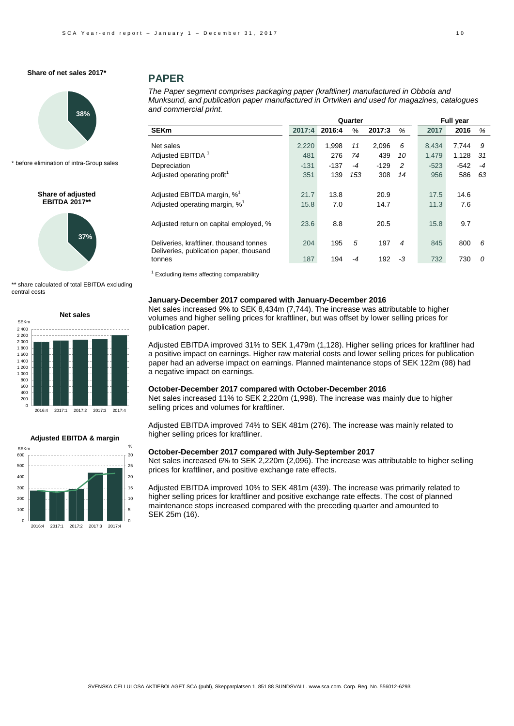

\* before elimination of intra-Group sales

**Share of adjusted EBITDA 2017\*\***



\*\* share calculated of total EBITDA excluding central costs





## **PAPER**

*The Paper segment comprises packaging paper (kraftliner) manufactured in Obbola and Munksund, and publication paper manufactured in Ortviken and used for magazines, catalogues and commercial print.*

| 2017:4 | 2016:4 | %    | 2017:3          | %              | 2017   | 2016   | %                       |
|--------|--------|------|-----------------|----------------|--------|--------|-------------------------|
| 2,220  | 1.998  | 11   | 2,096           | 6              | 8.434  | 7.744  | 9                       |
| 481    | 276    | 74   | 439             | 10             | 1.479  | 1,128  | 31                      |
| $-131$ | $-137$ | $-4$ | $-129$          | 2              | $-523$ | $-542$ | $-4$                    |
| 351    | 139    | 153  | 308             | 14             | 956    | 586    | 63                      |
|        |        |      |                 |                |        |        |                         |
| 21.7   | 13.8   |      | 20.9            |                | 17.5   | 14.6   |                         |
| 15.8   | 7.0    |      | 14.7            |                | 11.3   | 7.6    |                         |
|        |        |      |                 |                |        |        |                         |
| 23.6   | 8.8    |      | 20.5            |                | 15.8   | 9.7    |                         |
|        |        |      |                 |                |        |        |                         |
| 204    | 195    | 5    | 197             | $\overline{4}$ | 845    | 800    | 6                       |
|        |        |      |                 |                |        |        |                         |
|        |        |      |                 |                |        |        | 0                       |
|        | 187    | 194  | Quarter<br>$-4$ | 192            | -3     | 732    | <b>Full year</b><br>730 |

 $1$  Excluding items affecting comparability

### **January-December 2017 compared with January-December 2016**

Net sales increased 9% to SEK 8,434m (7,744). The increase was attributable to higher volumes and higher selling prices for kraftliner, but was offset by lower selling prices for publication paper.

Adjusted EBITDA improved 31% to SEK 1,479m (1,128). Higher selling prices for kraftliner had a positive impact on earnings. Higher raw material costs and lower selling prices for publication paper had an adverse impact on earnings. Planned maintenance stops of SEK 122m (98) had a negative impact on earnings.

#### **October-December 2017 compared with October-December 2016**

Net sales increased 11% to SEK 2,220m (1,998). The increase was mainly due to higher selling prices and volumes for kraftliner.

Adjusted EBITDA improved 74% to SEK 481m (276). The increase was mainly related to higher selling prices for kraftliner.

#### **October-December 2017 compared with July-September 2017**

Net sales increased 6% to SEK 2,220m (2,096). The increase was attributable to higher selling prices for kraftliner, and positive exchange rate effects.

Adjusted EBITDA improved 10% to SEK 481m (439). The increase was primarily related to higher selling prices for kraftliner and positive exchange rate effects. The cost of planned maintenance stops increased compared with the preceding quarter and amounted to SEK 25m (16).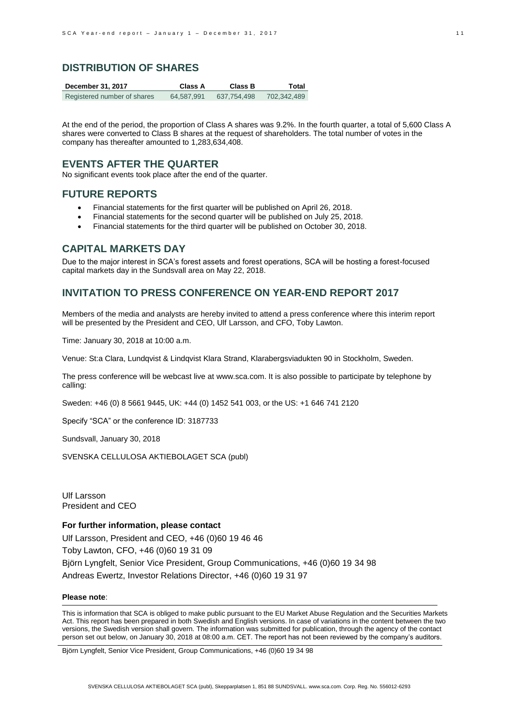### **DISTRIBUTION OF SHARES**

| December 31, 2017           | Class A    | Class B     | Total       |
|-----------------------------|------------|-------------|-------------|
| Registered number of shares | 64,587,991 | 637.754.498 | 702,342,489 |

At the end of the period, the proportion of Class A shares was 9.2%. In the fourth quarter, a total of 5,600 Class A shares were converted to Class B shares at the request of shareholders. The total number of votes in the company has thereafter amounted to 1,283,634,408.

## **EVENTS AFTER THE QUARTER**

No significant events took place after the end of the quarter.

## **FUTURE REPORTS**

- Financial statements for the first quarter will be published on April 26, 2018.
- Financial statements for the second quarter will be published on July 25, 2018.
- Financial statements for the third quarter will be published on October 30, 2018.

### **CAPITAL MARKETS DAY**

Due to the major interest in SCA's forest assets and forest operations, SCA will be hosting a forest-focused capital markets day in the Sundsvall area on May 22, 2018.

### **INVITATION TO PRESS CONFERENCE ON YEAR-END REPORT 2017**

Members of the media and analysts are hereby invited to attend a press conference where this interim report will be presented by the President and CEO, Ulf Larsson, and CFO, Toby Lawton.

Time: January 30, 2018 at 10:00 a.m.

Venue: St:a Clara, Lundqvist & Lindqvist Klara Strand, Klarabergsviadukten 90 in Stockholm, Sweden.

The press conference will be webcast live a[t www.sca.com.](http://www.sca.com/) It is also possible to participate by telephone by calling:

Sweden: +46 (0) 8 5661 9445, UK: +44 (0) 1452 541 003, or the US: +1 646 741 2120

Specify "SCA" or the conference ID: 3187733

Sundsvall, January 30, 2018

SVENSKA CELLULOSA AKTIEBOLAGET SCA (publ)

Ulf Larsson President and CEO

### **For further information, please contact**

Ulf Larsson, President and CEO, +46 (0)60 19 46 46 Toby Lawton, CFO, +46 (0)60 19 31 09 Björn Lyngfelt, Senior Vice President, Group Communications, +46 (0)60 19 34 98 Andreas Ewertz, Investor Relations Director, +46 (0)60 19 31 97

### **Please note**:

This is information that SCA is obliged to make public pursuant to the EU Market Abuse Regulation and the Securities Markets Act. This report has been prepared in both Swedish and English versions. In case of variations in the content between the two versions, the Swedish version shall govern. The information was submitted for publication, through the agency of the contact person set out below, on January 30, 2018 at 08:00 a.m. CET. The report has not been reviewed by the company's auditors.

Björn Lyngfelt, Senior Vice President, Group Communications, +46 (0)60 19 34 98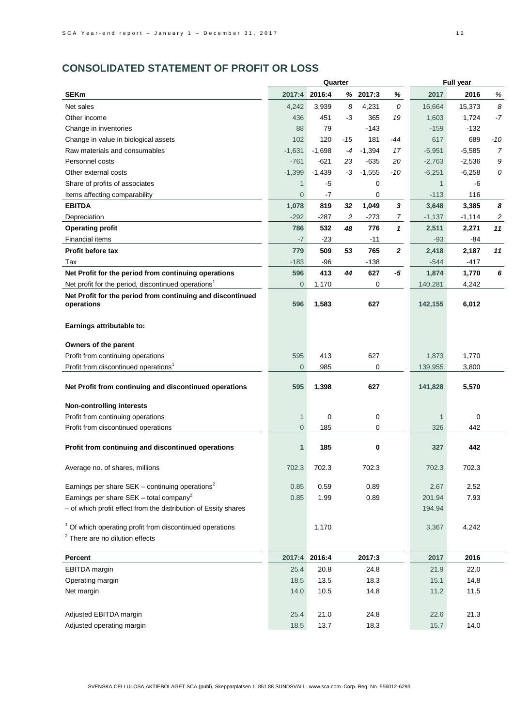# **CONSOLIDATED STATEMENT OF PROFIT OR LOSS**

|                                                                          |                |               | Quarter |          |                  | <b>Full year</b> |          |       |
|--------------------------------------------------------------------------|----------------|---------------|---------|----------|------------------|------------------|----------|-------|
| <b>SEKm</b>                                                              | 2017:4         | 2016:4        |         | % 2017:3 | %                | 2017             | 2016     | $\%$  |
| Net sales                                                                | 4,242          | 3,939         | 8       | 4,231    | 0                | 16,664           | 15,373   | 8     |
| Other income                                                             | 436            | 451           | -3      | 365      | 19               | 1,603            | 1,724    | $-7$  |
| Change in inventories                                                    | 88             | 79            |         | -143     |                  | $-159$           | $-132$   |       |
| Change in value in biological assets                                     | 102            | 120           | $-15$   | 181      | $-44$            | 617              | 689      | $-10$ |
| Raw materials and consumables                                            | $-1,631$       | $-1,698$      | $-4$    | $-1,394$ | 17               | $-5,951$         | $-5,585$ | 7     |
| Personnel costs                                                          | $-761$         | $-621$        | 23      | $-635$   | 20               | $-2,763$         | $-2,536$ | 9     |
| Other external costs                                                     | $-1,399$       | $-1,439$      | -3      | $-1,555$ | -10              | $-6,251$         | $-6,258$ | 0     |
| Share of profits of associates                                           | $\mathbf{1}$   | -5            |         | 0        |                  | $\mathbf{1}$     | -6       |       |
| Items affecting comparability                                            | $\overline{0}$ | -7            |         | 0        |                  | $-113$           | 116      |       |
| <b>EBITDA</b>                                                            | 1,078          | 819           | 32      | 1,049    | $\boldsymbol{3}$ | 3,648            | 3,385    | 8     |
| Depreciation                                                             | $-292$         | -287          | 2       | -273     | 7                | $-1,137$         | $-1,114$ | 2     |
| <b>Operating profit</b>                                                  | 786            | 532           | 48      | 776      | $\mathbf{1}$     | 2,511            | 2,271    | 11    |
| <b>Financial items</b>                                                   | $-7$           | $-23$         |         | $-11$    |                  | $-93$            | -84      |       |
| <b>Profit before tax</b>                                                 | 779            | 509           | 53      | 765      | $\overline{2}$   | 2,418            | 2,187    | 11    |
| Tax                                                                      | $-183$         | $-96$         |         | $-138$   |                  | $-544$           | $-417$   |       |
| Net Profit for the period from continuing operations                     | 596            | 413           | 44      | 627      | -5               | 1,874            | 1,770    | 6     |
| Net profit for the period, discontinued operations <sup>1</sup>          | $\overline{0}$ | 1,170         |         | 0        |                  | 140,281          | 4,242    |       |
|                                                                          |                |               |         |          |                  |                  |          |       |
| Net Profit for the period from continuing and discontinued<br>operations | 596            | 1,583         |         | 627      |                  | 142,155          | 6,012    |       |
|                                                                          |                |               |         |          |                  |                  |          |       |
| Earnings attributable to:                                                |                |               |         |          |                  |                  |          |       |
| Owners of the parent                                                     |                |               |         |          |                  |                  |          |       |
| Profit from continuing operations                                        | 595            | 413           |         | 627      |                  | 1,873            | 1,770    |       |
| Profit from discontinued operations <sup>1</sup>                         | $\overline{0}$ | 985           |         | 0        |                  | 139,955          | 3,800    |       |
|                                                                          |                |               |         |          |                  |                  |          |       |
| Net Profit from continuing and discontinued operations                   | 595            | 1,398         |         | 627      |                  | 141,828          | 5,570    |       |
| <b>Non-controlling interests</b>                                         |                |               |         |          |                  |                  |          |       |
| Profit from continuing operations                                        | $\mathbf{1}$   | 0             |         | 0        |                  | 1                | 0        |       |
| Profit from discontinued operations                                      | $\overline{0}$ | 185           |         | 0        |                  | 326              | 442      |       |
|                                                                          |                |               |         |          |                  |                  |          |       |
| Profit from continuing and discontinued operations                       | $\mathbf{1}$   | 185           |         | 0        |                  | 327              | 442      |       |
|                                                                          |                |               |         |          |                  |                  |          |       |
| Average no. of shares, millions                                          | 702.3          | 702.3         |         | 702.3    |                  | 702.3            | 702.3    |       |
| Earnings per share SEK - continuing operations <sup>2</sup>              | 0.85           | 0.59          |         | 0.89     |                  | 2.67             | 2.52     |       |
| Earnings per share SEK - total company <sup>2</sup>                      | 0.85           | 1.99          |         | 0.89     |                  | 201.94           | 7.93     |       |
| - of which profit effect from the distribution of Essity shares          |                |               |         |          |                  | 194.94           |          |       |
|                                                                          |                |               |         |          |                  |                  |          |       |
| <sup>1</sup> Of which operating profit from discontinued operations      |                | 1,170         |         |          |                  | 3,367            | 4,242    |       |
| $2$ There are no dilution effects                                        |                |               |         |          |                  |                  |          |       |
|                                                                          |                |               |         |          |                  |                  |          |       |
| Percent                                                                  |                | 2017:4 2016:4 |         | 2017:3   |                  | 2017             | 2016     |       |
| EBITDA margin                                                            | 25.4           | 20.8          |         | 24.8     |                  | 21.9             | 22.0     |       |
| Operating margin                                                         | 18.5           | 13.5          |         | 18.3     |                  | 15.1             | 14.8     |       |
| Net margin                                                               | 14.0           | 10.5          |         | 14.8     |                  | 11.2             | 11.5     |       |
|                                                                          |                |               |         |          |                  |                  |          |       |
| Adjusted EBITDA margin                                                   | 25.4           | 21.0          |         | 24.8     |                  | 22.6             | 21.3     |       |
| Adjusted operating margin                                                | 18.5           | 13.7          |         | 18.3     |                  | 15.7             | 14.0     |       |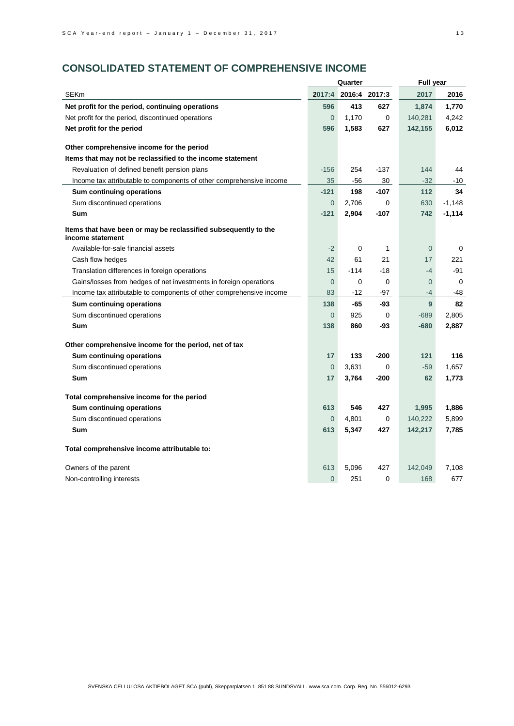# **CONSOLIDATED STATEMENT OF COMPREHENSIVE INCOME**

|                                                                                     | Quarter        |        |               | <b>Full year</b> |          |  |
|-------------------------------------------------------------------------------------|----------------|--------|---------------|------------------|----------|--|
| <b>SEKm</b>                                                                         | 2017:4         |        | 2016:4 2017:3 | 2017             | 2016     |  |
| Net profit for the period, continuing operations                                    | 596            | 413    | 627           | 1,874            | 1,770    |  |
| Net profit for the period, discontinued operations                                  | 0              | 1,170  | 0             | 140,281          | 4,242    |  |
| Net profit for the period                                                           | 596            | 1,583  | 627           | 142,155          | 6,012    |  |
|                                                                                     |                |        |               |                  |          |  |
| Other comprehensive income for the period                                           |                |        |               |                  |          |  |
| Items that may not be reclassified to the income statement                          |                |        |               |                  |          |  |
| Revaluation of defined benefit pension plans                                        | $-156$         | 254    | $-137$        | 144              | 44       |  |
| Income tax attributable to components of other comprehensive income                 | 35             | -56    | 30            | $-32$            | -10      |  |
| Sum continuing operations                                                           | $-121$         | 198    | $-107$        | 112              | 34       |  |
| Sum discontinued operations                                                         | $\overline{0}$ | 2,706  | 0             | 630              | $-1,148$ |  |
| Sum                                                                                 | $-121$         | 2,904  | $-107$        | 742              | $-1,114$ |  |
| Items that have been or may be reclassified subsequently to the<br>income statement |                |        |               |                  |          |  |
| Available-for-sale financial assets                                                 | $-2$           | 0      | 1             | $\mathbf 0$      | 0        |  |
| Cash flow hedges                                                                    | 42             | 61     | 21            | 17               | 221      |  |
| Translation differences in foreign operations                                       | 15             | $-114$ | -18           | $-4$             | -91      |  |
| Gains/losses from hedges of net investments in foreign operations                   | $\overline{0}$ | 0      | 0             | $\overline{0}$   | 0        |  |
| Income tax attributable to components of other comprehensive income                 | 83             | -12    | -97           | $-4$             | -48      |  |
| Sum continuing operations                                                           | 138            | -65    | -93           | 9                | 82       |  |
| Sum discontinued operations                                                         | $\overline{0}$ | 925    | 0             | $-689$           | 2,805    |  |
| Sum                                                                                 | 138            | 860    | -93           | $-680$           | 2,887    |  |
| Other comprehensive income for the period, net of tax                               |                |        |               |                  |          |  |
| Sum continuing operations                                                           | 17             | 133    | $-200$        | 121              | 116      |  |
| Sum discontinued operations                                                         | $\overline{0}$ | 3,631  | 0             | $-59$            | 1,657    |  |
| Sum                                                                                 | 17             | 3,764  | -200          | 62               | 1,773    |  |
| Total comprehensive income for the period                                           |                |        |               |                  |          |  |
| Sum continuing operations                                                           | 613            | 546    | 427           | 1,995            | 1,886    |  |
| Sum discontinued operations                                                         | $\overline{0}$ | 4,801  | 0             | 140,222          | 5,899    |  |
| <b>Sum</b>                                                                          | 613            | 5,347  | 427           | 142,217          | 7,785    |  |
| Total comprehensive income attributable to:                                         |                |        |               |                  |          |  |
| Owners of the parent                                                                | 613            | 5,096  | 427           | 142,049          | 7,108    |  |
| Non-controlling interests                                                           | $\overline{0}$ | 251    | 0             | 168              | 677      |  |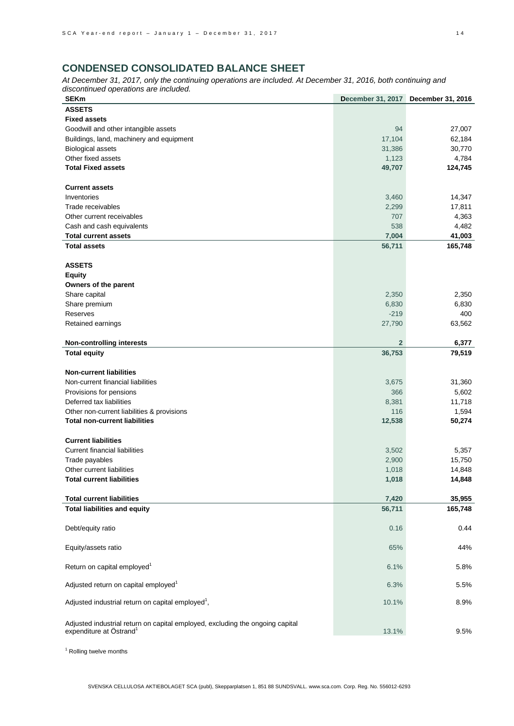# **CONDENSED CONSOLIDATED BALANCE SHEET**

*At December 31, 2017, only the continuing operations are included. At December 31, 2016, both continuing and discontinued operations are included.*

| <b>SEKm</b>                                                                   | <b>December 31, 2017</b> | December 31, 2016 |
|-------------------------------------------------------------------------------|--------------------------|-------------------|
| <b>ASSETS</b>                                                                 |                          |                   |
| <b>Fixed assets</b>                                                           |                          |                   |
| Goodwill and other intangible assets                                          | 94                       | 27,007            |
| Buildings, land, machinery and equipment                                      | 17,104                   | 62,184            |
| <b>Biological assets</b>                                                      | 31,386                   | 30,770            |
| Other fixed assets                                                            | 1,123                    | 4,784             |
| <b>Total Fixed assets</b>                                                     | 49,707                   | 124,745           |
|                                                                               |                          |                   |
| <b>Current assets</b>                                                         |                          |                   |
| Inventories                                                                   | 3,460                    | 14,347            |
| Trade receivables                                                             | 2,299                    | 17,811            |
| Other current receivables                                                     | 707                      | 4,363             |
| Cash and cash equivalents                                                     | 538                      | 4,482             |
| <b>Total current assets</b>                                                   | 7,004                    | 41,003            |
| <b>Total assets</b>                                                           | 56,711                   | 165,748           |
|                                                                               |                          |                   |
| <b>ASSETS</b>                                                                 |                          |                   |
| <b>Equity</b>                                                                 |                          |                   |
| Owners of the parent                                                          |                          |                   |
| Share capital                                                                 | 2,350                    | 2,350             |
| Share premium                                                                 | 6,830                    | 6,830             |
| Reserves                                                                      | $-219$                   | 400               |
| Retained earnings                                                             | 27,790                   | 63,562            |
|                                                                               |                          |                   |
| <b>Non-controlling interests</b>                                              | $\overline{2}$           | 6,377             |
| <b>Total equity</b>                                                           | 36,753                   | 79,519            |
|                                                                               |                          |                   |
| <b>Non-current liabilities</b>                                                |                          |                   |
| Non-current financial liabilities                                             | 3,675                    | 31,360            |
| Provisions for pensions                                                       | 366                      | 5,602             |
| Deferred tax liabilities                                                      | 8,381                    | 11,718            |
| Other non-current liabilities & provisions                                    | 116                      | 1,594             |
| <b>Total non-current liabilities</b>                                          | 12,538                   | 50,274            |
|                                                                               |                          |                   |
| <b>Current liabilities</b>                                                    |                          |                   |
| <b>Current financial liabilities</b>                                          | 3,502                    | 5,357             |
| Trade payables                                                                | 2,900                    | 15,750            |
| Other current liabilities                                                     | 1,018                    | 14,848            |
| <b>Total current liabilities</b>                                              | 1,018                    | 14,848            |
|                                                                               |                          |                   |
| <b>Total current liabilities</b>                                              | 7,420                    | 35,955            |
| <b>Total liabilities and equity</b>                                           | 56,711                   | 165,748           |
|                                                                               |                          |                   |
| Debt/equity ratio                                                             | 0.16                     | 0.44              |
|                                                                               |                          |                   |
| Equity/assets ratio                                                           | 65%                      | 44%               |
| Return on capital employed <sup>1</sup>                                       |                          |                   |
|                                                                               | 6.1%                     | 5.8%              |
| Adjusted return on capital employed <sup>1</sup>                              | 6.3%                     | 5.5%              |
|                                                                               |                          |                   |
| Adjusted industrial return on capital employed <sup>1</sup> ,                 | 10.1%                    | 8.9%              |
|                                                                               |                          |                   |
| Adjusted industrial return on capital employed, excluding the ongoing capital |                          |                   |
| expenditure at Östrand <sup>1</sup>                                           | 13.1%                    | 9.5%              |
|                                                                               |                          |                   |

<sup>1</sup> Rolling twelve months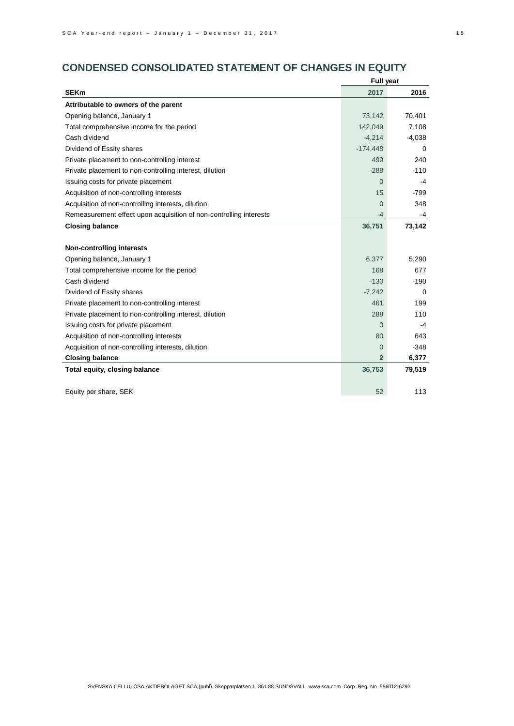# **CONDENSED CONSOLIDATED STATEMENT OF CHANGES IN EQUITY**

|                                                                    | <b>Full year</b> |          |  |  |
|--------------------------------------------------------------------|------------------|----------|--|--|
| <b>SEKm</b>                                                        | 2017             | 2016     |  |  |
| Attributable to owners of the parent                               |                  |          |  |  |
| Opening balance, January 1                                         | 73,142           | 70,401   |  |  |
| Total comprehensive income for the period                          | 142,049          | 7,108    |  |  |
| Cash dividend                                                      | $-4,214$         | $-4,038$ |  |  |
| Dividend of Essity shares                                          | $-174,448$       | 0        |  |  |
| Private placement to non-controlling interest                      | 499              | 240      |  |  |
| Private placement to non-controlling interest, dilution            | $-288$           | $-110$   |  |  |
| Issuing costs for private placement                                | $\overline{0}$   | $-4$     |  |  |
| Acquisition of non-controlling interests                           | 15               | $-799$   |  |  |
| Acquisition of non-controlling interests, dilution                 | $\Omega$         | 348      |  |  |
| Remeasurement effect upon acquisition of non-controlling interests | -4               | -4       |  |  |
| <b>Closing balance</b>                                             | 36,751           | 73,142   |  |  |
|                                                                    |                  |          |  |  |
| <b>Non-controlling interests</b>                                   |                  |          |  |  |
| Opening balance, January 1                                         | 6,377            | 5,290    |  |  |
| Total comprehensive income for the period                          | 168              | 677      |  |  |
| Cash dividend                                                      | $-130$           | $-190$   |  |  |
| Dividend of Essity shares                                          | $-7,242$         | 0        |  |  |
| Private placement to non-controlling interest                      | 461              | 199      |  |  |
| Private placement to non-controlling interest, dilution            | 288              | 110      |  |  |
| Issuing costs for private placement                                | $\Omega$         | $-4$     |  |  |
| Acquisition of non-controlling interests                           | 80               | 643      |  |  |
| Acquisition of non-controlling interests, dilution                 | 0                | $-348$   |  |  |
| <b>Closing balance</b>                                             | $\overline{2}$   | 6,377    |  |  |
| Total equity, closing balance                                      | 36,753           | 79,519   |  |  |
|                                                                    |                  |          |  |  |
| Equity per share, SEK                                              | 52               | 113      |  |  |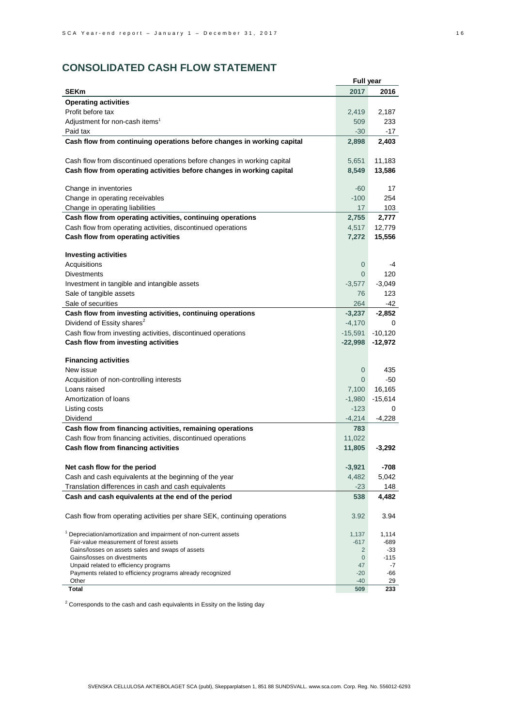# **CONSOLIDATED CASH FLOW STATEMENT**

|                                                                                 | <b>Full year</b>  |              |
|---------------------------------------------------------------------------------|-------------------|--------------|
| <b>SEKm</b>                                                                     | 2017              | 2016         |
| <b>Operating activities</b>                                                     |                   |              |
| Profit before tax                                                               | 2,419             | 2,187        |
| Adjustment for non-cash items <sup>1</sup>                                      | 509               | 233          |
| Paid tax                                                                        | $-30$             | -17          |
| Cash flow from continuing operations before changes in working capital          | 2,898             | 2,403        |
|                                                                                 |                   |              |
| Cash flow from discontinued operations before changes in working capital        | 5,651             | 11,183       |
| Cash flow from operating activities before changes in working capital           | 8,549             | 13,586       |
|                                                                                 |                   |              |
| Change in inventories                                                           | $-60$             | 17           |
| Change in operating receivables                                                 | $-100$            | 254          |
| Change in operating liabilities                                                 | 17                | 103          |
| Cash flow from operating activities, continuing operations                      | 2,755             | 2,777        |
| Cash flow from operating activities, discontinued operations                    | 4,517             | 12,779       |
| Cash flow from operating activities                                             | 7,272             | 15,556       |
|                                                                                 |                   |              |
| <b>Investing activities</b>                                                     |                   |              |
| Acquisitions                                                                    | 0                 | -4           |
| <b>Divestments</b>                                                              | $\Omega$          | 120          |
| Investment in tangible and intangible assets                                    | $-3,577$          | $-3,049$     |
| Sale of tangible assets                                                         | 76                | 123          |
| Sale of securities                                                              | 264               | -42          |
| Cash flow from investing activities, continuing operations                      | $-3,237$          | -2,852       |
| Dividend of Essity shares <sup>2</sup>                                          | $-4,170$          | 0            |
| Cash flow from investing activities, discontinued operations                    | $-15,591$         | $-10,120$    |
| Cash flow from investing activities                                             | $-22,998$         | $-12,972$    |
|                                                                                 |                   |              |
| <b>Financing activities</b>                                                     |                   |              |
| New issue                                                                       | $\overline{0}$    | 435          |
| Acquisition of non-controlling interests                                        | 0                 | -50          |
| Loans raised                                                                    | 7,100             | 16,165       |
| Amortization of loans                                                           | $-1,980$          | $-15,614$    |
| Listing costs                                                                   | $-123$            | $\Omega$     |
| Dividend                                                                        | -4,214            | -4,228       |
| Cash flow from financing activities, remaining operations                       | 783               |              |
| Cash flow from financing activities, discontinued operations                    | 11,022            |              |
| Cash flow from financing activities                                             | 11,805            | $-3,292$     |
|                                                                                 |                   |              |
| Net cash flow for the period                                                    | $-3,921$          | -708         |
| Cash and cash equivalents at the beginning of the year                          | 4,482             | 5,042        |
| Translation differences in cash and cash equivalents                            | $-23$             | 148          |
| Cash and cash equivalents at the end of the period                              | 538               | 4,482        |
| Cash flow from operating activities per share SEK, continuing operations        | 3.92              | 3.94         |
|                                                                                 |                   |              |
| <sup>1</sup> Depreciation/amortization and impairment of non-current assets     | 1,137             | 1,114        |
| Fair-value measurement of forest assets                                         | $-617$            | -689         |
| Gains/losses on assets sales and swaps of assets<br>Gains/losses on divestments | 2                 | -33          |
| Unpaid related to efficiency programs                                           | $\mathbf 0$<br>47 | $-115$<br>-7 |
| Payments related to efficiency programs already recognized                      | $-20$             | -66          |
| Other                                                                           | -40               | 29           |
| Total                                                                           | 509               | 233          |

 $2$  Corresponds to the cash and cash equivalents in Essity on the listing day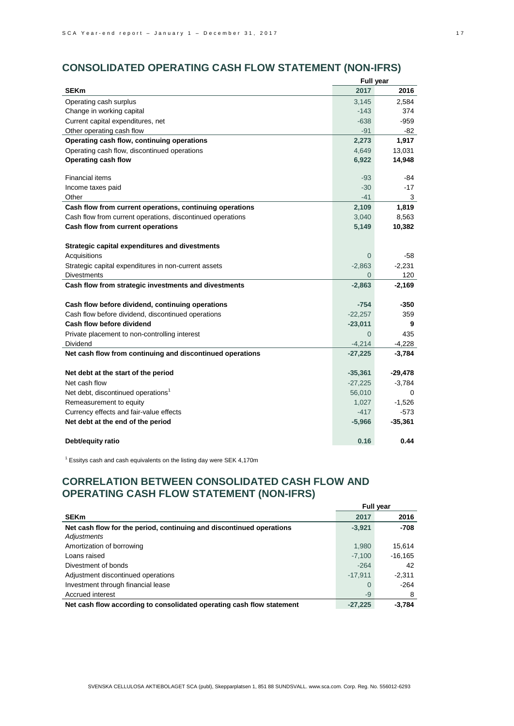# **CONSOLIDATED OPERATING CASH FLOW STATEMENT (NON-IFRS)**

| <b>SEKm</b><br>2017<br>Operating cash surplus<br>3,145<br>Change in working capital<br>$-143$<br>Current capital expenditures, net<br>$-638$<br>Other operating cash flow<br>$-91$ | 2016<br>2,584<br>374<br>$-959$<br>-82<br>1,917<br>13,031<br>14,948<br>-84 |
|------------------------------------------------------------------------------------------------------------------------------------------------------------------------------------|---------------------------------------------------------------------------|
|                                                                                                                                                                                    |                                                                           |
|                                                                                                                                                                                    |                                                                           |
|                                                                                                                                                                                    |                                                                           |
|                                                                                                                                                                                    |                                                                           |
|                                                                                                                                                                                    |                                                                           |
| Operating cash flow, continuing operations<br>2,273                                                                                                                                |                                                                           |
| Operating cash flow, discontinued operations<br>4,649                                                                                                                              |                                                                           |
| Operating cash flow<br>6,922                                                                                                                                                       |                                                                           |
| Financial items<br>$-93$                                                                                                                                                           |                                                                           |
| Income taxes paid<br>$-30$                                                                                                                                                         | $-17$                                                                     |
| $-41$<br>Other                                                                                                                                                                     | 3                                                                         |
| Cash flow from current operations, continuing operations<br>2,109                                                                                                                  | 1,819                                                                     |
| Cash flow from current operations, discontinued operations<br>3,040                                                                                                                | 8,563                                                                     |
| Cash flow from current operations<br>5,149                                                                                                                                         | 10,382                                                                    |
| Strategic capital expenditures and divestments                                                                                                                                     |                                                                           |
| Acquisitions<br>$\mathbf 0$                                                                                                                                                        | $-58$                                                                     |
| Strategic capital expenditures in non-current assets<br>$-2,863$                                                                                                                   | $-2,231$                                                                  |
| <b>Divestments</b><br>$\overline{0}$                                                                                                                                               | 120                                                                       |
| Cash flow from strategic investments and divestments<br>$-2,863$                                                                                                                   | $-2,169$                                                                  |
| Cash flow before dividend, continuing operations<br>-754                                                                                                                           | $-350$                                                                    |
| Cash flow before dividend, discontinued operations<br>$-22,257$                                                                                                                    | 359                                                                       |
| Cash flow before dividend<br>$-23,011$                                                                                                                                             | 9                                                                         |
| $\overline{0}$<br>Private placement to non-controlling interest                                                                                                                    | 435                                                                       |
| Dividend<br>$-4,214$                                                                                                                                                               | $-4,228$                                                                  |
| Net cash flow from continuing and discontinued operations<br>$-27,225$                                                                                                             | $-3,784$                                                                  |
| $-35,361$<br>Net debt at the start of the period                                                                                                                                   | $-29,478$                                                                 |
| Net cash flow<br>$-27,225$                                                                                                                                                         | $-3,784$                                                                  |
| Net debt, discontinued operations <sup>1</sup><br>56,010                                                                                                                           | 0                                                                         |
| Remeasurement to equity<br>1,027                                                                                                                                                   | $-1,526$                                                                  |
| Currency effects and fair-value effects<br>$-417$                                                                                                                                  | $-573$                                                                    |
| Net debt at the end of the period<br>$-5,966$                                                                                                                                      | $-35,361$                                                                 |
| 0.16<br>Debt/equity ratio                                                                                                                                                          | 0.44                                                                      |

 $1$  Essitys cash and cash equivalents on the listing day were SEK 4,170m

# **CORRELATION BETWEEN CONSOLIDATED CASH FLOW AND OPERATING CASH FLOW STATEMENT (NON-IFRS)**

|                                                                       | <b>Full year</b> |           |  |
|-----------------------------------------------------------------------|------------------|-----------|--|
| <b>SEKm</b>                                                           | 2017             | 2016      |  |
| Net cash flow for the period, continuing and discontinued operations  | $-3,921$         | -708      |  |
| Adjustments                                                           |                  |           |  |
| Amortization of borrowing                                             | 1,980            | 15.614    |  |
| Loans raised                                                          | $-7.100$         | $-16.165$ |  |
| Divestment of bonds                                                   | $-264$           | 42        |  |
| Adjustment discontinued operations                                    | $-17.911$        | $-2.311$  |  |
| Investment through financial lease                                    | $\Omega$         | $-264$    |  |
| Accrued interest                                                      | $-9$             | 8         |  |
| Net cash flow according to consolidated operating cash flow statement | $-27.225$        | $-3.784$  |  |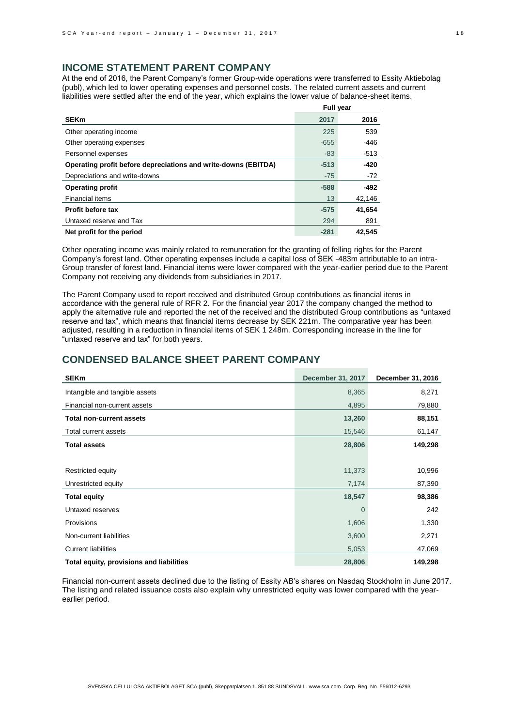# **INCOME STATEMENT PARENT COMPANY**

At the end of 2016, the Parent Company's former Group-wide operations were transferred to Essity Aktiebolag (publ), which led to lower operating expenses and personnel costs. The related current assets and current liabilities were settled after the end of the year, which explains the lower value of balance-sheet items.

|                                                                | <b>Full year</b> |        |  |
|----------------------------------------------------------------|------------------|--------|--|
| <b>SEKm</b>                                                    | 2017             | 2016   |  |
| Other operating income                                         | 225              | 539    |  |
| Other operating expenses                                       | $-655$           | -446   |  |
| Personnel expenses                                             | $-83$            | $-513$ |  |
| Operating profit before depreciations and write-downs (EBITDA) | $-513$           | $-420$ |  |
| Depreciations and write-downs                                  | $-75$            | $-72$  |  |
| <b>Operating profit</b>                                        | $-588$           | $-492$ |  |
| Financial items                                                | 13               | 42,146 |  |
| Profit before tax                                              | $-575$           | 41,654 |  |
| Untaxed reserve and Tax                                        | 294              | 891    |  |
| Net profit for the period                                      | $-281$           | 42.545 |  |

Other operating income was mainly related to remuneration for the granting of felling rights for the Parent Company's forest land. Other operating expenses include a capital loss of SEK -483m attributable to an intra-Group transfer of forest land. Financial items were lower compared with the year-earlier period due to the Parent Company not receiving any dividends from subsidiaries in 2017.

The Parent Company used to report received and distributed Group contributions as financial items in accordance with the general rule of RFR 2. For the financial year 2017 the company changed the method to apply the alternative rule and reported the net of the received and the distributed Group contributions as "untaxed reserve and tax", which means that financial items decrease by SEK 221m. The comparative year has been adjusted, resulting in a reduction in financial items of SEK 1 248m. Corresponding increase in the line for "untaxed reserve and tax" for both years.

## **CONDENSED BALANCE SHEET PARENT COMPANY**

| <b>SEKm</b>                              | <b>December 31, 2017</b> | December 31, 2016 |
|------------------------------------------|--------------------------|-------------------|
| Intangible and tangible assets           | 8,365                    | 8,271             |
| Financial non-current assets             | 4,895                    | 79,880            |
| <b>Total non-current assets</b>          | 13,260                   | 88,151            |
| Total current assets                     | 15,546                   | 61,147            |
| <b>Total assets</b>                      | 28,806                   | 149,298           |
|                                          |                          |                   |
| Restricted equity                        | 11,373                   | 10,996            |
| Unrestricted equity                      | 7,174                    | 87,390            |
| <b>Total equity</b>                      | 18,547                   | 98,386            |
| Untaxed reserves                         | $\Omega$                 | 242               |
| Provisions                               | 1,606                    | 1,330             |
| Non-current liabilities                  | 3,600                    | 2,271             |
| <b>Current liabilities</b>               | 5,053                    | 47,069            |
| Total equity, provisions and liabilities | 28,806                   | 149,298           |

Financial non-current assets declined due to the listing of Essity AB's shares on Nasdaq Stockholm in June 2017. The listing and related issuance costs also explain why unrestricted equity was lower compared with the yearearlier period.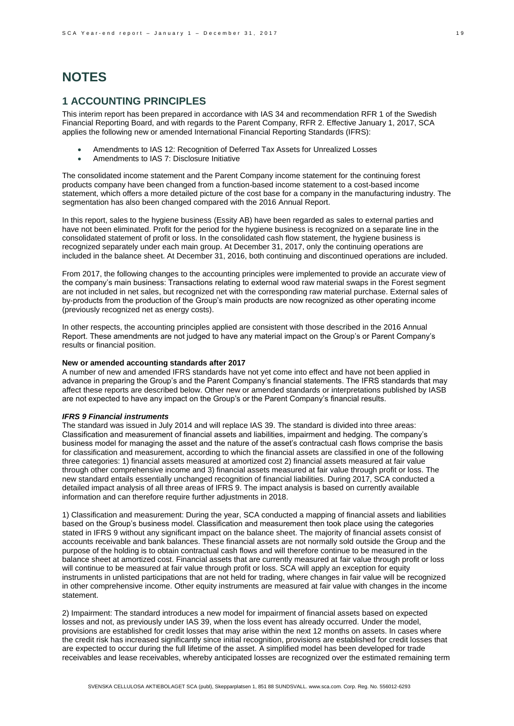# **NOTES**

# **1 ACCOUNTING PRINCIPLES**

This interim report has been prepared in accordance with IAS 34 and recommendation RFR 1 of the Swedish Financial Reporting Board, and with regards to the Parent Company, RFR 2. Effective January 1, 2017, SCA applies the following new or amended International Financial Reporting Standards (IFRS):

- Amendments to IAS 12: Recognition of Deferred Tax Assets for Unrealized Losses
- Amendments to IAS 7: Disclosure Initiative

The consolidated income statement and the Parent Company income statement for the continuing forest products company have been changed from a function-based income statement to a cost-based income statement, which offers a more detailed picture of the cost base for a company in the manufacturing industry. The segmentation has also been changed compared with the 2016 Annual Report.

In this report, sales to the hygiene business (Essity AB) have been regarded as sales to external parties and have not been eliminated. Profit for the period for the hygiene business is recognized on a separate line in the consolidated statement of profit or loss. In the consolidated cash flow statement, the hygiene business is recognized separately under each main group. At December 31, 2017, only the continuing operations are included in the balance sheet. At December 31, 2016, both continuing and discontinued operations are included.

From 2017, the following changes to the accounting principles were implemented to provide an accurate view of the company's main business: Transactions relating to external wood raw material swaps in the Forest segment are not included in net sales, but recognized net with the corresponding raw material purchase. External sales of by-products from the production of the Group's main products are now recognized as other operating income (previously recognized net as energy costs).

In other respects, the accounting principles applied are consistent with those described in the 2016 Annual Report. These amendments are not judged to have any material impact on the Group's or Parent Company's results or financial position.

### **New or amended accounting standards after 2017**

A number of new and amended IFRS standards have not yet come into effect and have not been applied in advance in preparing the Group's and the Parent Company's financial statements. The IFRS standards that may affect these reports are described below. Other new or amended standards or interpretations published by IASB are not expected to have any impact on the Group's or the Parent Company's financial results.

#### *IFRS 9 Financial instruments*

The standard was issued in July 2014 and will replace IAS 39. The standard is divided into three areas: Classification and measurement of financial assets and liabilities, impairment and hedging. The company's business model for managing the asset and the nature of the asset's contractual cash flows comprise the basis for classification and measurement, according to which the financial assets are classified in one of the following three categories: 1) financial assets measured at amortized cost 2) financial assets measured at fair value through other comprehensive income and 3) financial assets measured at fair value through profit or loss. The new standard entails essentially unchanged recognition of financial liabilities. During 2017, SCA conducted a detailed impact analysis of all three areas of IFRS 9. The impact analysis is based on currently available information and can therefore require further adjustments in 2018.

1) Classification and measurement: During the year, SCA conducted a mapping of financial assets and liabilities based on the Group's business model. Classification and measurement then took place using the categories stated in IFRS 9 without any significant impact on the balance sheet. The majority of financial assets consist of accounts receivable and bank balances. These financial assets are not normally sold outside the Group and the purpose of the holding is to obtain contractual cash flows and will therefore continue to be measured in the balance sheet at amortized cost. Financial assets that are currently measured at fair value through profit or loss will continue to be measured at fair value through profit or loss. SCA will apply an exception for equity instruments in unlisted participations that are not held for trading, where changes in fair value will be recognized in other comprehensive income. Other equity instruments are measured at fair value with changes in the income statement.

2) Impairment: The standard introduces a new model for impairment of financial assets based on expected losses and not, as previously under IAS 39, when the loss event has already occurred. Under the model, provisions are established for credit losses that may arise within the next 12 months on assets. In cases where the credit risk has increased significantly since initial recognition, provisions are established for credit losses that are expected to occur during the full lifetime of the asset. A simplified model has been developed for trade receivables and lease receivables, whereby anticipated losses are recognized over the estimated remaining term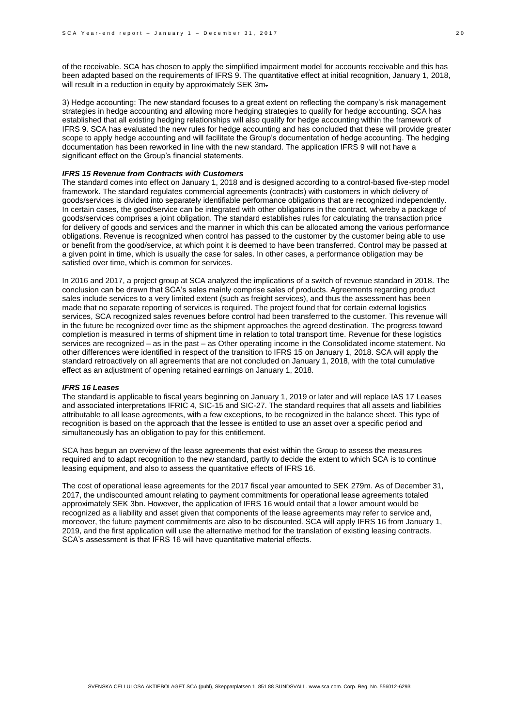of the receivable. SCA has chosen to apply the simplified impairment model for accounts receivable and this has been adapted based on the requirements of IFRS 9. The quantitative effect at initial recognition, January 1, 2018, will result in a reduction in equity by approximately SEK 3m.

3) Hedge accounting: The new standard focuses to a great extent on reflecting the company's risk management strategies in hedge accounting and allowing more hedging strategies to qualify for hedge accounting. SCA has established that all existing hedging relationships will also qualify for hedge accounting within the framework of IFRS 9. SCA has evaluated the new rules for hedge accounting and has concluded that these will provide greater scope to apply hedge accounting and will facilitate the Group's documentation of hedge accounting. The hedging documentation has been reworked in line with the new standard. The application IFRS 9 will not have a significant effect on the Group's financial statements.

### *IFRS 15 Revenue from Contracts with Customers*

The standard comes into effect on January 1, 2018 and is designed according to a control-based five-step model framework. The standard regulates commercial agreements (contracts) with customers in which delivery of goods/services is divided into separately identifiable performance obligations that are recognized independently. In certain cases, the good/service can be integrated with other obligations in the contract, whereby a package of goods/services comprises a joint obligation. The standard establishes rules for calculating the transaction price for delivery of goods and services and the manner in which this can be allocated among the various performance obligations. Revenue is recognized when control has passed to the customer by the customer being able to use or benefit from the good/service, at which point it is deemed to have been transferred. Control may be passed at a given point in time, which is usually the case for sales. In other cases, a performance obligation may be satisfied over time, which is common for services.

In 2016 and 2017, a project group at SCA analyzed the implications of a switch of revenue standard in 2018. The conclusion can be drawn that SCA's sales mainly comprise sales of products. Agreements regarding product sales include services to a very limited extent (such as freight services), and thus the assessment has been made that no separate reporting of services is required. The project found that for certain external logistics services, SCA recognized sales revenues before control had been transferred to the customer. This revenue will in the future be recognized over time as the shipment approaches the agreed destination. The progress toward completion is measured in terms of shipment time in relation to total transport time. Revenue for these logistics services are recognized – as in the past – as Other operating income in the Consolidated income statement. No other differences were identified in respect of the transition to IFRS 15 on January 1, 2018. SCA will apply the standard retroactively on all agreements that are not concluded on January 1, 2018, with the total cumulative effect as an adjustment of opening retained earnings on January 1, 2018.

#### *IFRS 16 Leases*

The standard is applicable to fiscal years beginning on January 1, 2019 or later and will replace IAS 17 Leases and associated interpretations IFRIC 4, SIC-15 and SIC-27. The standard requires that all assets and liabilities attributable to all lease agreements, with a few exceptions, to be recognized in the balance sheet. This type of recognition is based on the approach that the lessee is entitled to use an asset over a specific period and simultaneously has an obligation to pay for this entitlement.

SCA has begun an overview of the lease agreements that exist within the Group to assess the measures required and to adapt recognition to the new standard, partly to decide the extent to which SCA is to continue leasing equipment, and also to assess the quantitative effects of IFRS 16.

The cost of operational lease agreements for the 2017 fiscal year amounted to SEK 279m. As of December 31, 2017, the undiscounted amount relating to payment commitments for operational lease agreements totaled approximately SEK 3bn. However, the application of IFRS 16 would entail that a lower amount would be recognized as a liability and asset given that components of the lease agreements may refer to service and, moreover, the future payment commitments are also to be discounted. SCA will apply IFRS 16 from January 1, 2019, and the first application will use the alternative method for the translation of existing leasing contracts. SCA's assessment is that IFRS 16 will have quantitative material effects.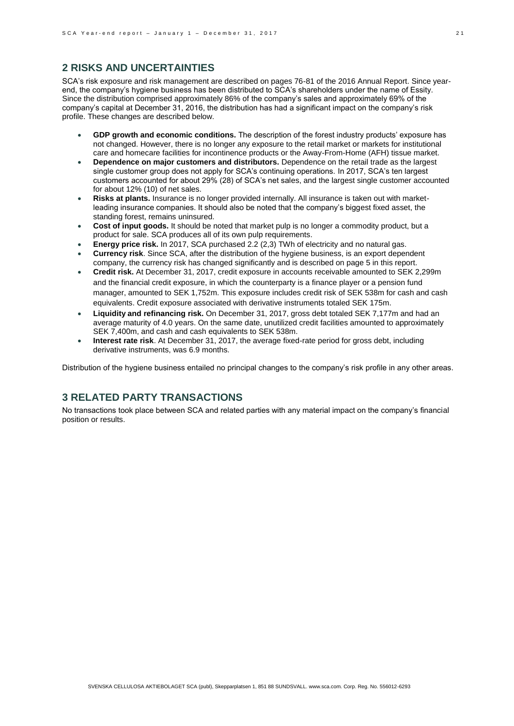### **2 RISKS AND UNCERTAINTIES**

SCA's risk exposure and risk management are described on pages 76-81 of the 2016 Annual Report. Since yearend, the company's hygiene business has been distributed to SCA's shareholders under the name of Essity. Since the distribution comprised approximately 86% of the company's sales and approximately 69% of the company's capital at December 31, 2016, the distribution has had a significant impact on the company's risk profile. These changes are described below.

- **GDP growth and economic conditions.** The description of the forest industry products' exposure has not changed. However, there is no longer any exposure to the retail market or markets for institutional care and homecare facilities for incontinence products or the Away-From-Home (AFH) tissue market.
- **Dependence on major customers and distributors.** Dependence on the retail trade as the largest single customer group does not apply for SCA's continuing operations. In 2017, SCA's ten largest customers accounted for about 29% (28) of SCA's net sales, and the largest single customer accounted for about 12% (10) of net sales.
- **Risks at plants.** Insurance is no longer provided internally. All insurance is taken out with marketleading insurance companies. It should also be noted that the company's biggest fixed asset, the standing forest, remains uninsured.
- **Cost of input goods.** It should be noted that market pulp is no longer a commodity product, but a product for sale. SCA produces all of its own pulp requirements.
- **Energy price risk.** In 2017, SCA purchased 2.2 (2,3) TWh of electricity and no natural gas.
- **Currency risk**. Since SCA, after the distribution of the hygiene business, is an export dependent company, the currency risk has changed significantly and is described on page 5 in this report.
- **Credit risk.** At December 31, 2017, credit exposure in accounts receivable amounted to SEK 2,299m and the financial credit exposure, in which the counterparty is a finance player or a pension fund manager, amounted to SEK 1,752m. This exposure includes credit risk of SEK 538m for cash and cash equivalents. Credit exposure associated with derivative instruments totaled SEK 175m.
- **Liquidity and refinancing risk.** On December 31, 2017, gross debt totaled SEK 7,177m and had an average maturity of 4.0 years. On the same date, unutilized credit facilities amounted to approximately SEK 7,400m, and cash and cash equivalents to SEK 538m.
- **Interest rate risk**. At December 31, 2017, the average fixed-rate period for gross debt, including derivative instruments, was 6.9 months.

Distribution of the hygiene business entailed no principal changes to the company's risk profile in any other areas.

# **3 RELATED PARTY TRANSACTIONS**

No transactions took place between SCA and related parties with any material impact on the company's financial position or results.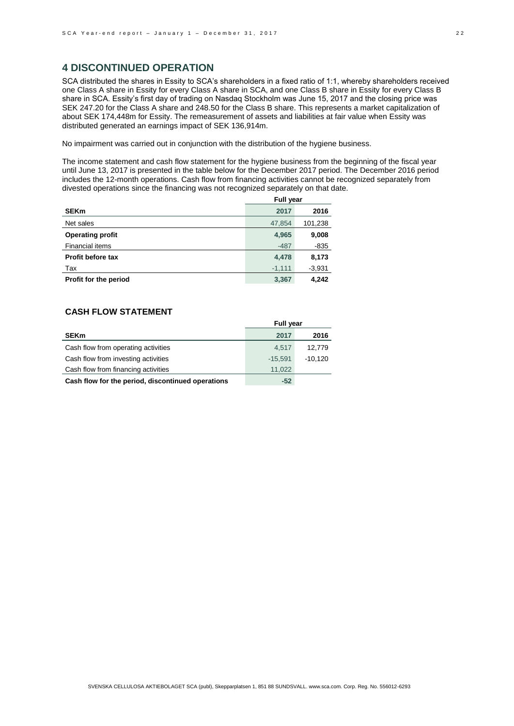## **4 DISCONTINUED OPERATION**

SCA distributed the shares in Essity to SCA's shareholders in a fixed ratio of 1:1, whereby shareholders received one Class A share in Essity for every Class A share in SCA, and one Class B share in Essity for every Class B share in SCA. Essity's first day of trading on Nasdaq Stockholm was June 15, 2017 and the closing price was SEK 247.20 for the Class A share and 248.50 for the Class B share. This represents a market capitalization of about SEK 174,448m for Essity. The remeasurement of assets and liabilities at fair value when Essity was distributed generated an earnings impact of SEK 136,914m.

No impairment was carried out in conjunction with the distribution of the hygiene business.

The income statement and cash flow statement for the hygiene business from the beginning of the fiscal year until June 13, 2017 is presented in the table below for the December 2017 period. The December 2016 period includes the 12-month operations. Cash flow from financing activities cannot be recognized separately from divested operations since the financing was not recognized separately on that date.

|                         | <b>Full year</b> |          |  |
|-------------------------|------------------|----------|--|
| <b>SEKm</b>             | 2017             | 2016     |  |
| Net sales               | 47,854           | 101,238  |  |
| <b>Operating profit</b> | 4,965            | 9,008    |  |
| <b>Financial items</b>  | $-487$           | $-835$   |  |
| Profit before tax       | 4,478            | 8,173    |  |
| Tax                     | $-1,111$         | $-3,931$ |  |
| Profit for the period   | 3.367            | 4.242    |  |

### **CASH FLOW STATEMENT**

|                                                   | <b>Full year</b> |           |  |
|---------------------------------------------------|------------------|-----------|--|
| <b>SEKm</b>                                       | 2017             | 2016      |  |
| Cash flow from operating activities               | 4.517            | 12.779    |  |
| Cash flow from investing activities               | $-15.591$        | $-10,120$ |  |
| Cash flow from financing activities               | 11.022           |           |  |
| Cash flow for the period, discontinued operations | $-52$            |           |  |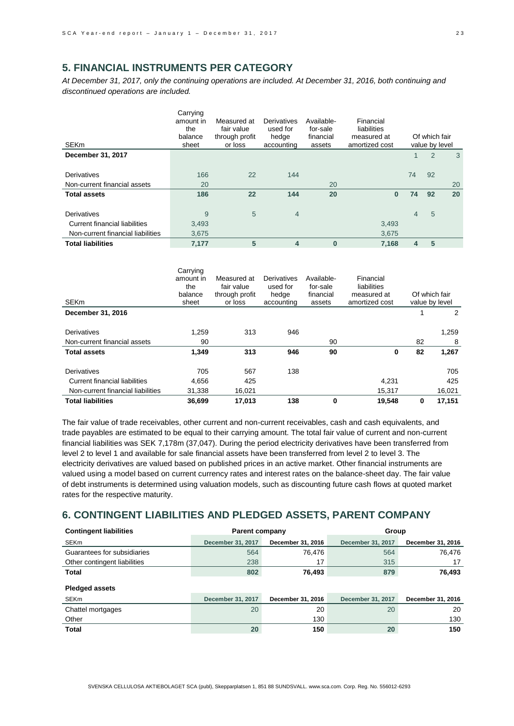# **5. FINANCIAL INSTRUMENTS PER CATEGORY**

*At December 31, 2017, only the continuing operations are included. At December 31, 2016, both continuing and discontinued operations are included.*

| SEKm                              | Carrying<br>amount in<br>the<br>balance<br>sheet | Measured at<br>fair value<br>through profit<br>or loss | Derivatives<br>used for<br>hedge<br>accounting | Available-<br>for-sale<br>financial<br>assets | Financial<br>liabilities<br>measured at<br>amortized cost |                | Of which fair<br>value by level |    |
|-----------------------------------|--------------------------------------------------|--------------------------------------------------------|------------------------------------------------|-----------------------------------------------|-----------------------------------------------------------|----------------|---------------------------------|----|
| December 31, 2017                 |                                                  |                                                        |                                                |                                               |                                                           |                | 2                               | 3  |
| Derivatives                       | 166                                              | 22                                                     | 144                                            |                                               |                                                           | 74             | 92                              |    |
| Non-current financial assets      | 20                                               |                                                        |                                                | 20                                            |                                                           |                |                                 | 20 |
| <b>Total assets</b>               | 186                                              | 22                                                     | 144                                            | 20                                            | $\bf{0}$                                                  | 74             | 92                              | 20 |
| Derivatives                       | 9                                                | 5                                                      | $\overline{4}$                                 |                                               |                                                           | $\overline{4}$ | 5                               |    |
| Current financial liabilities     | 3,493                                            |                                                        |                                                |                                               | 3,493                                                     |                |                                 |    |
| Non-current financial liabilities | 3,675                                            |                                                        |                                                |                                               | 3,675                                                     |                |                                 |    |
| <b>Total liabilities</b>          | 7,177                                            | 5                                                      | $\overline{4}$                                 | $\mathbf{0}$                                  | 7,168                                                     | 4              | 5                               |    |

|                                   | Carrying<br>amount in<br>the<br>balance | Measured at<br>fair value<br>through profit | Derivatives<br>used for<br>hedge | Available-<br>for-sale<br>financial | Financial<br>liabilities<br>measured at |    | Of which fair  |
|-----------------------------------|-----------------------------------------|---------------------------------------------|----------------------------------|-------------------------------------|-----------------------------------------|----|----------------|
| <b>SEKm</b>                       | sheet                                   | or loss                                     | accounting                       | assets                              | amortized cost                          |    | value by level |
| December 31, 2016                 |                                         |                                             |                                  |                                     |                                         |    | 2              |
|                                   |                                         |                                             |                                  |                                     |                                         |    |                |
| Derivatives                       | 1,259                                   | 313                                         | 946                              |                                     |                                         |    | 1,259          |
| Non-current financial assets      | 90                                      |                                             |                                  | 90                                  |                                         | 82 | 8              |
| <b>Total assets</b>               | 1,349                                   | 313                                         | 946                              | 90                                  | 0                                       | 82 | 1,267          |
| Derivatives                       | 705                                     | 567                                         | 138                              |                                     |                                         |    | 705            |
| Current financial liabilities     | 4,656                                   | 425                                         |                                  |                                     | 4.231                                   |    | 425            |
| Non-current financial liabilities | 31,338                                  | 16,021                                      |                                  |                                     | 15,317                                  |    | 16,021         |
| <b>Total liabilities</b>          | 36,699                                  | 17,013                                      | 138                              | 0                                   | 19,548                                  | 0  | 17,151         |

The fair value of trade receivables, other current and non-current receivables, cash and cash equivalents, and trade payables are estimated to be equal to their carrying amount. The total fair value of current and non-current financial liabilities was SEK 7,178m (37,047). During the period electricity derivatives have been transferred from level 2 to level 1 and available for sale financial assets have been transferred from level 2 to level 3. The electricity derivatives are valued based on published prices in an active market. Other financial instruments are valued using a model based on current currency rates and interest rates on the balance-sheet day. The fair value of debt instruments is determined using valuation models, such as discounting future cash flows at quoted market rates for the respective maturity.

## **6. CONTINGENT LIABILITIES AND PLEDGED ASSETS, PARENT COMPANY**

| <b>Contingent liabilities</b> | <b>Parent company</b> |                   | Group             |                   |  |  |
|-------------------------------|-----------------------|-------------------|-------------------|-------------------|--|--|
| SEKm                          | December 31, 2017     | December 31, 2016 | December 31, 2017 | December 31, 2016 |  |  |
| Guarantees for subsidiaries   | 564                   | 76,476            | 564               | 76,476            |  |  |
| Other contingent liabilities  | 238                   | 17                | 315               | 17                |  |  |
| Total                         | 802                   | 76,493            | 879               | 76,493            |  |  |
| <b>Pledged assets</b>         |                       |                   |                   |                   |  |  |
| SEKm                          | December 31, 2017     | December 31, 2016 | December 31, 2017 | December 31, 2016 |  |  |
| Chattel mortgages             | 20                    | 20                | 20                | 20                |  |  |
| Other                         |                       | 130               |                   | 130               |  |  |
| Total                         | 20                    | 150               | 20                | 150               |  |  |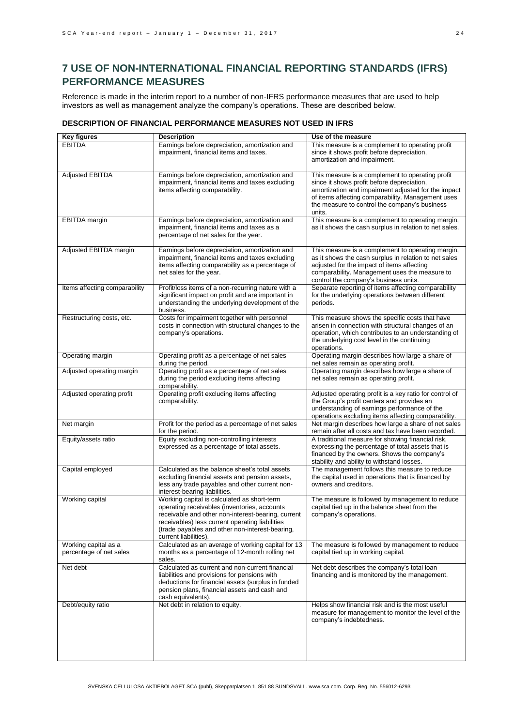# **7 USE OF NON-INTERNATIONAL FINANCIAL REPORTING STANDARDS (IFRS) PERFORMANCE MEASURES**

Reference is made in the interim report to a number of non-IFRS performance measures that are used to help investors as well as management analyze the company's operations. These are described below.

### **DESCRIPTION OF FINANCIAL PERFORMANCE MEASURES NOT USED IN IFRS**

| <b>Key figures</b>                              | <b>Description</b>                                                                                                                                                                                                                                                               | Use of the measure                                                                                                                                                                                                                                                    |
|-------------------------------------------------|----------------------------------------------------------------------------------------------------------------------------------------------------------------------------------------------------------------------------------------------------------------------------------|-----------------------------------------------------------------------------------------------------------------------------------------------------------------------------------------------------------------------------------------------------------------------|
| <b>EBITDA</b>                                   | Earnings before depreciation, amortization and<br>impairment, financial items and taxes.                                                                                                                                                                                         | This measure is a complement to operating profit<br>since it shows profit before depreciation,<br>amortization and impairment.                                                                                                                                        |
| <b>Adjusted EBITDA</b>                          | Earnings before depreciation, amortization and<br>impairment, financial items and taxes excluding<br>items affecting comparability.                                                                                                                                              | This measure is a complement to operating profit<br>since it shows profit before depreciation,<br>amortization and impairment adjusted for the impact<br>of items affecting comparability. Management uses<br>the measure to control the company's business<br>units. |
| EBITDA margin                                   | Earnings before depreciation, amortization and<br>impairment, financial items and taxes as a<br>percentage of net sales for the year.                                                                                                                                            | This measure is a complement to operating margin,<br>as it shows the cash surplus in relation to net sales.                                                                                                                                                           |
| Adjusted EBITDA margin                          | Earnings before depreciation, amortization and<br>impairment, financial items and taxes excluding<br>items affecting comparability as a percentage of<br>net sales for the year.                                                                                                 | This measure is a complement to operating margin,<br>as it shows the cash surplus in relation to net sales<br>adjusted for the impact of items affecting<br>comparability. Management uses the measure to<br>control the company's business units.                    |
| Items affecting comparability                   | Profit/loss items of a non-recurring nature with a<br>significant impact on profit and are important in<br>understanding the underlying development of the<br>business.                                                                                                          | Separate reporting of items affecting comparability<br>for the underlying operations between different<br>periods.                                                                                                                                                    |
| Restructuring costs, etc.                       | Costs for impairment together with personnel<br>costs in connection with structural changes to the<br>company's operations.                                                                                                                                                      | This measure shows the specific costs that have<br>arisen in connection with structural changes of an<br>operation, which contributes to an understanding of<br>the underlying cost level in the continuing<br>operations.                                            |
| Operating margin                                | Operating profit as a percentage of net sales<br>during the period.                                                                                                                                                                                                              | Operating margin describes how large a share of<br>net sales remain as operating profit.                                                                                                                                                                              |
| Adjusted operating margin                       | Operating profit as a percentage of net sales<br>during the period excluding items affecting<br>comparability.                                                                                                                                                                   | Operating margin describes how large a share of<br>net sales remain as operating profit.                                                                                                                                                                              |
| Adjusted operating profit                       | Operating profit excluding items affecting<br>comparability.                                                                                                                                                                                                                     | Adjusted operating profit is a key ratio for control of<br>the Group's profit centers and provides an<br>understanding of earnings performance of the<br>operations excluding items affecting comparability.                                                          |
| Net margin                                      | Profit for the period as a percentage of net sales<br>for the period.                                                                                                                                                                                                            | Net margin describes how large a share of net sales<br>remain after all costs and tax have been recorded.                                                                                                                                                             |
| Equity/assets ratio                             | Equity excluding non-controlling interests<br>expressed as a percentage of total assets.                                                                                                                                                                                         | A traditional measure for showing financial risk,<br>expressing the percentage of total assets that is<br>financed by the owners. Shows the company's<br>stability and ability to withstand losses.                                                                   |
| Capital employed                                | Calculated as the balance sheet's total assets<br>excluding financial assets and pension assets,<br>less any trade payables and other current non-<br>interest-bearing liabilities.                                                                                              | The management follows this measure to reduce<br>the capital used in operations that is financed by<br>owners and creditors.                                                                                                                                          |
| Working capital                                 | Working capital is calculated as short-term<br>operating receivables (inventories, accounts<br>receivable and other non-interest-bearing, current<br>receivables) less current operating liabilities<br>(trade payables and other non-interest-bearing,<br>current liabilities). | The measure is followed by management to reduce<br>capital tied up in the balance sheet from the<br>company's operations.                                                                                                                                             |
| Working capital as a<br>percentage of net sales | Calculated as an average of working capital for 13<br>months as a percentage of 12-month rolling net<br>sales.                                                                                                                                                                   | The measure is followed by management to reduce<br>capital tied up in working capital.                                                                                                                                                                                |
| Net debt                                        | Calculated as current and non-current financial<br>liabilities and provisions for pensions with<br>deductions for financial assets (surplus in funded<br>pension plans, financial assets and cash and<br>cash equivalents).                                                      | Net debt describes the company's total loan<br>financing and is monitored by the management.                                                                                                                                                                          |
| Debt/equity ratio                               | Net debt in relation to equity.                                                                                                                                                                                                                                                  | Helps show financial risk and is the most useful<br>measure for management to monitor the level of the<br>company's indebtedness.                                                                                                                                     |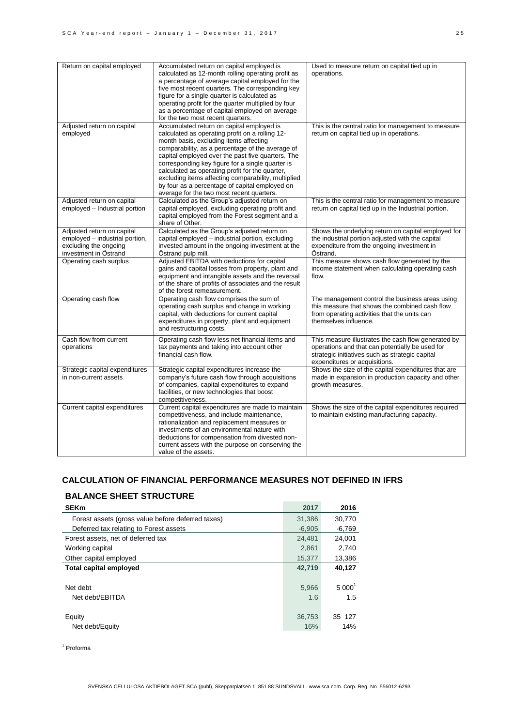| Return on capital employed                                                                                     | Accumulated return on capital employed is<br>calculated as 12-month rolling operating profit as<br>a percentage of average capital employed for the<br>five most recent quarters. The corresponding key<br>figure for a single quarter is calculated as<br>operating profit for the quarter multiplied by four<br>as a percentage of capital employed on average<br>for the two most recent quarters.                                                                                                        | Used to measure return on capital tied up in<br>operations.                                                                                                                                |
|----------------------------------------------------------------------------------------------------------------|--------------------------------------------------------------------------------------------------------------------------------------------------------------------------------------------------------------------------------------------------------------------------------------------------------------------------------------------------------------------------------------------------------------------------------------------------------------------------------------------------------------|--------------------------------------------------------------------------------------------------------------------------------------------------------------------------------------------|
| Adjusted return on capital<br>employed                                                                         | Accumulated return on capital employed is<br>calculated as operating profit on a rolling 12-<br>month basis, excluding items affecting<br>comparability, as a percentage of the average of<br>capital employed over the past five quarters. The<br>corresponding key figure for a single quarter is<br>calculated as operating profit for the quarter,<br>excluding items affecting comparability, multiplied<br>by four as a percentage of capital employed on<br>average for the two most recent quarters. | This is the central ratio for management to measure<br>return on capital tied up in operations.                                                                                            |
| Adjusted return on capital<br>employed - Industrial portion                                                    | Calculated as the Group's adjusted return on<br>capital employed, excluding operating profit and<br>capital employed from the Forest segment and a<br>share of Other.                                                                                                                                                                                                                                                                                                                                        | This is the central ratio for management to measure<br>return on capital tied up in the Industrial portion.                                                                                |
| Adjusted return on capital<br>employed - industrial portion,<br>excluding the ongoing<br>investment in Östrand | Calculated as the Group's adjusted return on<br>capital employed - industrial portion, excluding<br>invested amount in the ongoing investment at the<br>Östrand pulp mill.                                                                                                                                                                                                                                                                                                                                   | Shows the underlying return on capital employed for<br>the industrial portion adjusted with the capital<br>expenditure from the ongoing investment in<br>Östrand.                          |
| Operating cash surplus                                                                                         | Adjusted EBITDA with deductions for capital<br>gains and capital losses from property, plant and<br>equipment and intangible assets and the reversal<br>of the share of profits of associates and the result<br>of the forest remeasurement.                                                                                                                                                                                                                                                                 | This measure shows cash flow generated by the<br>income statement when calculating operating cash<br>flow.                                                                                 |
| Operating cash flow                                                                                            | Operating cash flow comprises the sum of<br>operating cash surplus and change in working<br>capital, with deductions for current capital<br>expenditures in property, plant and equipment<br>and restructuring costs.                                                                                                                                                                                                                                                                                        | The management control the business areas using<br>this measure that shows the combined cash flow<br>from operating activities that the units can<br>themselves influence.                 |
| Cash flow from current<br>operations                                                                           | Operating cash flow less net financial items and<br>tax payments and taking into account other<br>financial cash flow.                                                                                                                                                                                                                                                                                                                                                                                       | This measure illustrates the cash flow generated by<br>operations and that can potentially be used for<br>strategic initiatives such as strategic capital<br>expenditures or acquisitions. |
| Strategic capital expenditures<br>in non-current assets                                                        | Strategic capital expenditures increase the<br>company's future cash flow through acquisitions<br>of companies, capital expenditures to expand<br>facilities, or new technologies that boost<br>competitiveness.                                                                                                                                                                                                                                                                                             | Shows the size of the capital expenditures that are<br>made in expansion in production capacity and other<br>growth measures.                                                              |
| Current capital expenditures                                                                                   | Current capital expenditures are made to maintain<br>competitiveness, and include maintenance,<br>rationalization and replacement measures or<br>investments of an environmental nature with<br>deductions for compensation from divested non-<br>current assets with the purpose on conserving the<br>value of the assets.                                                                                                                                                                                  | Shows the size of the capital expenditures required<br>to maintain existing manufacturing capacity.                                                                                        |

### **CALCULATION OF FINANCIAL PERFORMANCE MEASURES NOT DEFINED IN IFRS**

# **BALANCE SHEET STRUCTURE**

| <b>SEKm</b>                                       | 2017     | 2016     |
|---------------------------------------------------|----------|----------|
| Forest assets (gross value before deferred taxes) | 31,386   | 30,770   |
| Deferred tax relating to Forest assets            | $-6.905$ | $-6,769$ |
| Forest assets, net of deferred tax                | 24,481   | 24,001   |
| Working capital                                   | 2.861    | 2.740    |
| Other capital employed                            | 15,377   | 13,386   |
| <b>Total capital employed</b>                     | 42.719   | 40,127   |
|                                                   |          |          |
| Net debt                                          | 5,966    | $5000^1$ |
| Net debt/EBITDA                                   | 1.6      | 1.5      |
|                                                   |          |          |
| Equity                                            | 36.753   | 35 127   |
| Net debt/Equity                                   | 16%      | 14%      |
|                                                   |          |          |

<sup>1</sup> Proforma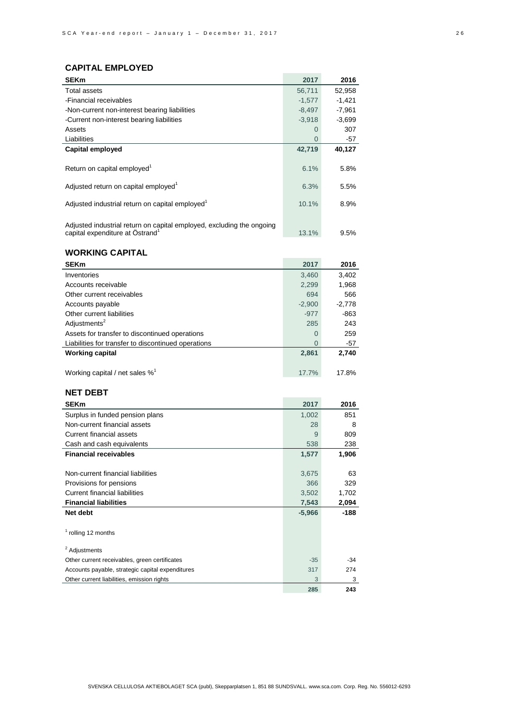# **CAPITAL EMPLOYED**

| UAFII AL EMFLUI ED                                                                                                   |          |          |
|----------------------------------------------------------------------------------------------------------------------|----------|----------|
| <b>SEKm</b>                                                                                                          | 2017     | 2016     |
| Total assets                                                                                                         | 56,711   | 52,958   |
| -Financial receivables                                                                                               | $-1,577$ | $-1,421$ |
| -Non-current non-interest bearing liabilities                                                                        | $-8,497$ | $-7,961$ |
| -Current non-interest bearing liabilities                                                                            | $-3,918$ | $-3,699$ |
| Assets                                                                                                               | 0        | 307      |
| Liabilities                                                                                                          | $\Omega$ | -57      |
| Capital employed                                                                                                     | 42,719   | 40,127   |
| Return on capital employed <sup>1</sup>                                                                              | 6.1%     | 5.8%     |
| Adjusted return on capital employed <sup>1</sup>                                                                     | 6.3%     | 5.5%     |
|                                                                                                                      |          |          |
| Adjusted industrial return on capital employed <sup>1</sup>                                                          | 10.1%    | 8.9%     |
| Adjusted industrial return on capital employed, excluding the ongoing<br>capital expenditure at Östrand <sup>1</sup> | 13.1%    | 9.5%     |
| <b>WORKING CAPITAL</b>                                                                                               |          |          |
| <b>SEKm</b>                                                                                                          | 2017     | 2016     |
| Inventories                                                                                                          | 3,460    | 3,402    |
| Accounts receivable                                                                                                  | 2,299    | 1,968    |
| Other current receivables                                                                                            | 694      | 566      |
| Accounts payable                                                                                                     | $-2,900$ | $-2,778$ |
| Other current liabilities                                                                                            | $-977$   | -863     |
| Adjustments <sup>2</sup>                                                                                             | 285      | 243      |
| Assets for transfer to discontinued operations                                                                       | 0        | 259      |
| Liabilities for transfer to discontinued operations                                                                  | $\Omega$ | $-57$    |
| <b>Working capital</b>                                                                                               | 2,861    | 2,740    |
|                                                                                                                      |          |          |
| Working capital / net sales $\%^1$                                                                                   | 17.7%    | 17.8%    |
| <b>NET DEBT</b>                                                                                                      |          |          |
| <b>SEKm</b>                                                                                                          | 2017     | 2016     |
| Surplus in funded pension plans                                                                                      | 1,002    | 851      |
| Non-current financial assets                                                                                         | 28       | 8        |
| <b>Current financial assets</b>                                                                                      | 9        | 809      |
| Cash and cash equivalents                                                                                            | 538      | 238      |
| <b>Financial receivables</b>                                                                                         | 1,577    | 1,906    |
|                                                                                                                      |          |          |
| Non-current financial liabilities                                                                                    | 3,675    | 63       |
| Provisions for pensions                                                                                              | 366      | 329      |
| <b>Current financial liabilities</b>                                                                                 | 3,502    | 1,702    |
| <b>Financial liabilities</b>                                                                                         | 7,543    | 2,094    |
| Net debt                                                                                                             | $-5,966$ | -188     |
|                                                                                                                      |          |          |
| <sup>1</sup> rolling 12 months                                                                                       |          |          |
| <sup>2</sup> Adiustments                                                                                             |          |          |
| Other current receivables, green certificates                                                                        | $-35$    | -34      |
| Accounts payable, strategic capital expenditures                                                                     | 317      | 274      |
| Other current liabilities, emission rights                                                                           | 3        | 3        |

**285 243**